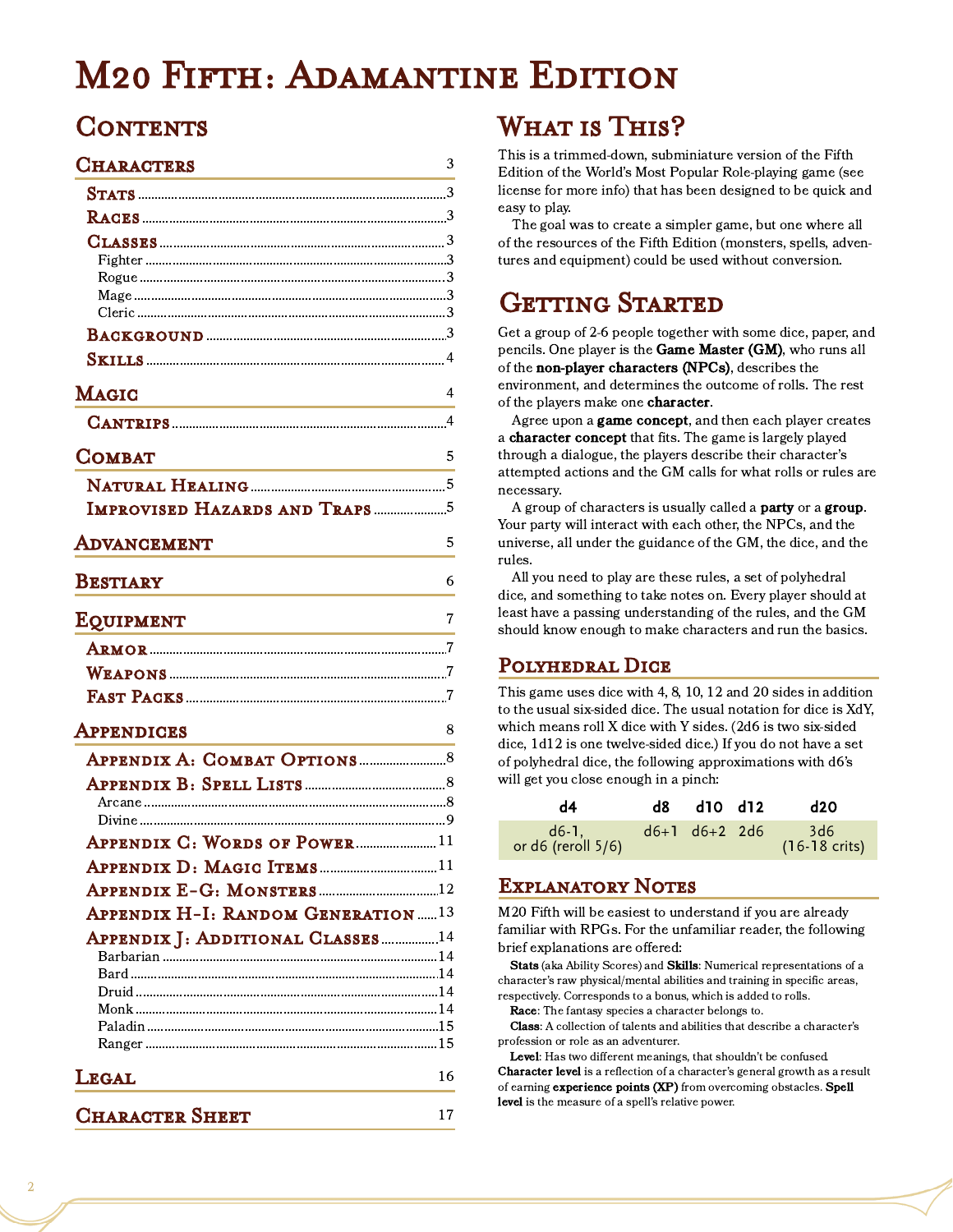# M20 Fifth: Adamantine Edition

### CONTENTS

| <b>CHARACTERS</b>                                                                                                                     | 3  |
|---------------------------------------------------------------------------------------------------------------------------------------|----|
|                                                                                                                                       |    |
|                                                                                                                                       |    |
|                                                                                                                                       |    |
|                                                                                                                                       |    |
|                                                                                                                                       |    |
|                                                                                                                                       |    |
|                                                                                                                                       |    |
|                                                                                                                                       |    |
| <b>MAGIC</b><br><u> 1989 - Johann Barbara, martxa alemaniar arg</u>                                                                   | 4  |
|                                                                                                                                       |    |
| <b>COMBAT</b><br><u> 1989 - Johann Stein, mars ar breithinn ar breithinn ar breithinn ar breithinn ar breithinn ar breithinn ar b</u> | 5  |
|                                                                                                                                       |    |
| <b>IMPROVISED HAZARDS AND TRAPS</b> 5                                                                                                 |    |
| ADVANCEMENT                                                                                                                           | 5  |
| <b>BESTIARY</b>                                                                                                                       | 6  |
| EQUIPMENT                                                                                                                             | 7  |
|                                                                                                                                       |    |
|                                                                                                                                       |    |
|                                                                                                                                       |    |
| APPENDICES                                                                                                                            | 8  |
|                                                                                                                                       |    |
|                                                                                                                                       |    |
|                                                                                                                                       |    |
| APPENDIX C: WORDS OF POWER11                                                                                                          |    |
|                                                                                                                                       |    |
|                                                                                                                                       |    |
| <b>APPENDIX H-I: RANDOM GENERATION13</b>                                                                                              |    |
|                                                                                                                                       |    |
| APPENDIX J: ADDITIONAL CLASSES14                                                                                                      |    |
|                                                                                                                                       |    |
|                                                                                                                                       |    |
|                                                                                                                                       |    |
|                                                                                                                                       |    |
| <b>LEGAL</b>                                                                                                                          | 16 |
| <b>CHARACTER SHEET</b>                                                                                                                | 17 |

# WHAT IS THIS?

This is a trimmed-down, subminiature version of the Fifth Edition of the World's Most Popular Role-playing game (see license for more info) that has been designed to be quick and easy to play.

The goal was to create a simpler game, but one where all of the resources of the Fifth Edition (monsters, spells, adventures and equipment) could be used without conversion.

# GETTING STARTED

Get a group of 2-6 people together with some dice, paper, and pencils. One player is the Game Master (GM), who runs all of the non-player characters (NPCs), describes the environment, and determines the outcome of rolls. The rest of the players make one **character**.

Agree upon a **game concept**, and then each player creates a character concept that fits. The game is largely played through a dialogue, the players describe their character's attempted actions and the GM calls for what rolls or rules are necessary.

A group of characters is usually called a **party** or a **group**. Your party will interact with each other, the NPCs, and the universe, all under the guidance of the GM, the dice, and the rules.

All you need to play are these rules, a set of polyhedral dice, and something to take notes on. Every player should at least have a passing understanding of the rules, and the GM should know enough to make characters and run the basics.

### Polyhedral Dice

This game uses dice with 4, 8, 10, 12 and 20 sides in addition to the usual six-sided dice. The usual notation for dice is XdY, which means roll X dice with Y sides. (2d6 is two six-sided dice, 1d12 is one twelve-sided dice.) If you do not have a set of polyhedral dice, the following approximations with d6's will get you close enough in a pinch:

| d4                                             |               | d8 d10 d12 | d20                             |
|------------------------------------------------|---------------|------------|---------------------------------|
| $d6-1$ , and $d6-1$<br>or $d6$ (reroll $5/6$ ) | d6+1 d6+2 2d6 |            | 3d6<br>$(16-18 \text{ crisis})$ |

### Explanatory Notes

M20 Fifth will be easiest to understand if you are already familiar with RPGs. For the unfamiliar reader, the following brief explanations are offered:

Stats (aka Ability Scores) and Skills: Numerical representations of a character's raw physical/mental abilities and training in specific areas, respectively. Corresponds to a bonus, which is added to rolls.

Race: The fantasy species a character belongs to.

Class: A collection of talents and abilities that describe a character's profession or role as an adventurer.

Level: Has two different meanings, that shouldn't be confused. Character level is a reflection of a character's general growth as a result of earning experience points (XP) from overcoming obstacles. Spell level is the measure of a spell's relative power.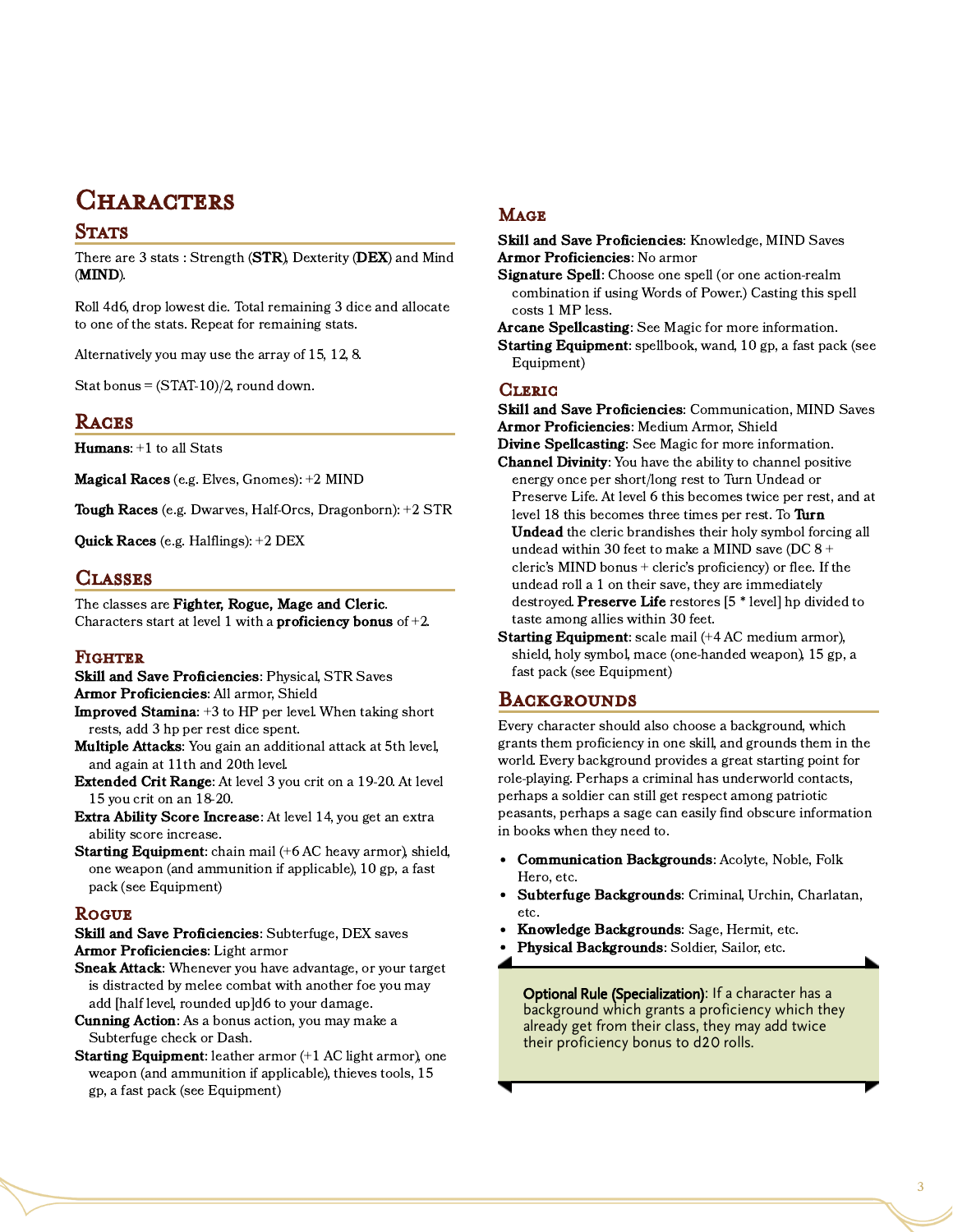### **CHARACTERS**

#### **STATS**

There are 3 stats: Strength (STR), Dexterity (DEX) and Mind (MIND).

Roll 4d6, drop lowest die. Total remaining 3 dice and allocate to one of the stats. Repeat for remaining stats.

Alternatively you may use the array of 15, 12, 8.

Stat bonus =  $(STAT-10)/2$ , round down.

#### **RACES**

Humans: +1 to all Stats

Magical Races (e.g. Elves, Gnomes): +2 MIND

Tough Races (e.g. Dwarves, Half-Orcs, Dragonborn): +2 STR

Quick Races (e.g. Halflings): +2 DEX

#### **CLASSES**

The classes are Fighter, Rogue, Mage and Cleric. Characters start at level 1 with a **proficiency bonus** of  $+2$ .

#### FIGHTER

- Skill and Save Proficiencies: Physical, STR Saves Armor Proficiencies: All armor, Shield
- Improved Stamina: +3 to HP per level. When taking short rests, add 3 hp per rest dice spent.
- Multiple Attacks: You gain an additional attack at 5th level, and again at 11th and 20th level.
- Extended Crit Range: At level 3 you crit on a 19-20. At level 15 you crit on an 18-20.
- Extra Ability Score Increase: At level 14, you get an extra ability score increase.
- Starting Equipment: chain mail (+6 AC heavy armor), shield, one weapon (and ammunition if applicable), 10 gp, a fast pack (see Equipment)

#### **ROGUE**

Skill and Save Proficiencies: Subterfuge, DEX saves Armor Proficiencies: Light armor

- Sneak Attack: Whenever you have advantage, or your target is distracted by melee combat with another foe you may add [half level, rounded up]d6 to your damage.
- Cunning Action: As a bonus action, you may make a Subterfuge check or Dash.
- Starting Equipment: leather armor (+1 AC light armor), one weapon (and ammunition if applicable), thieves tools, 15 gp, a fast pack (see Equipment)

#### **MAGE**

Skill and Save Proficiencies: Knowledge, MIND Saves Armor Proficiencies: No armor

Signature Spell: Choose one spell (or one action-realm combination if using Words of Power.) Casting this spell costs 1 MP less.

Arcane Spellcasting: See Magic for more information. Starting Equipment: spellbook, wand, 10 gp, a fast pack (see Equipment)

#### **CLERIC**

Skill and Save Proficiencies: Communication, MIND Saves Armor Proficiencies: Medium Armor, Shield Divine Spellcasting: See Magic for more information. Channel Divinity: You have the ability to channel positive energy once per short/long rest to Turn Undead or Preserve Life. At level 6 this becomes twice per rest, and at level 18 this becomes three times per rest. To Turn Undead the cleric brandishes their holy symbol forcing all undead within 30 feet to make a MIND save (DC 8 + cleric's MIND bonus + cleric's proficiency) or flee. If the undead roll a 1 on their save, they are immediately destroyed. Preserve Life restores [5 \* level] hp divided to taste among allies within 30 feet.

Starting Equipment: scale mail (+4 AC medium armor), shield, holy symbol, mace (one-handed weapon), 15 gp, a fast pack (see Equipment)

#### **BACKGROUNDS**

Every character should also choose a background, which grants them proficiency in one skill, and grounds them in the world. Every background provides a great starting point for role-playing. Perhaps a criminal has underworld contacts, perhaps a soldier can still get respect among patriotic peasants, perhaps a sage can easily find obscure information in books when they need to.

- Communication Backgrounds: Acolyte, Noble, Folk Hero, etc.
- $\bullet$ Subterfuge Backgrounds: Criminal, Urchin, Charlatan, etc.
- Knowledge Backgrounds: Sage, Hermit, etc.
- Physical Backgrounds: Soldier, Sailor, etc.

Optional Rule (Specialization): If a character has a background which grants a proficiency which they already get from their class, they may add twice their proficiency bonus to d20 rolls.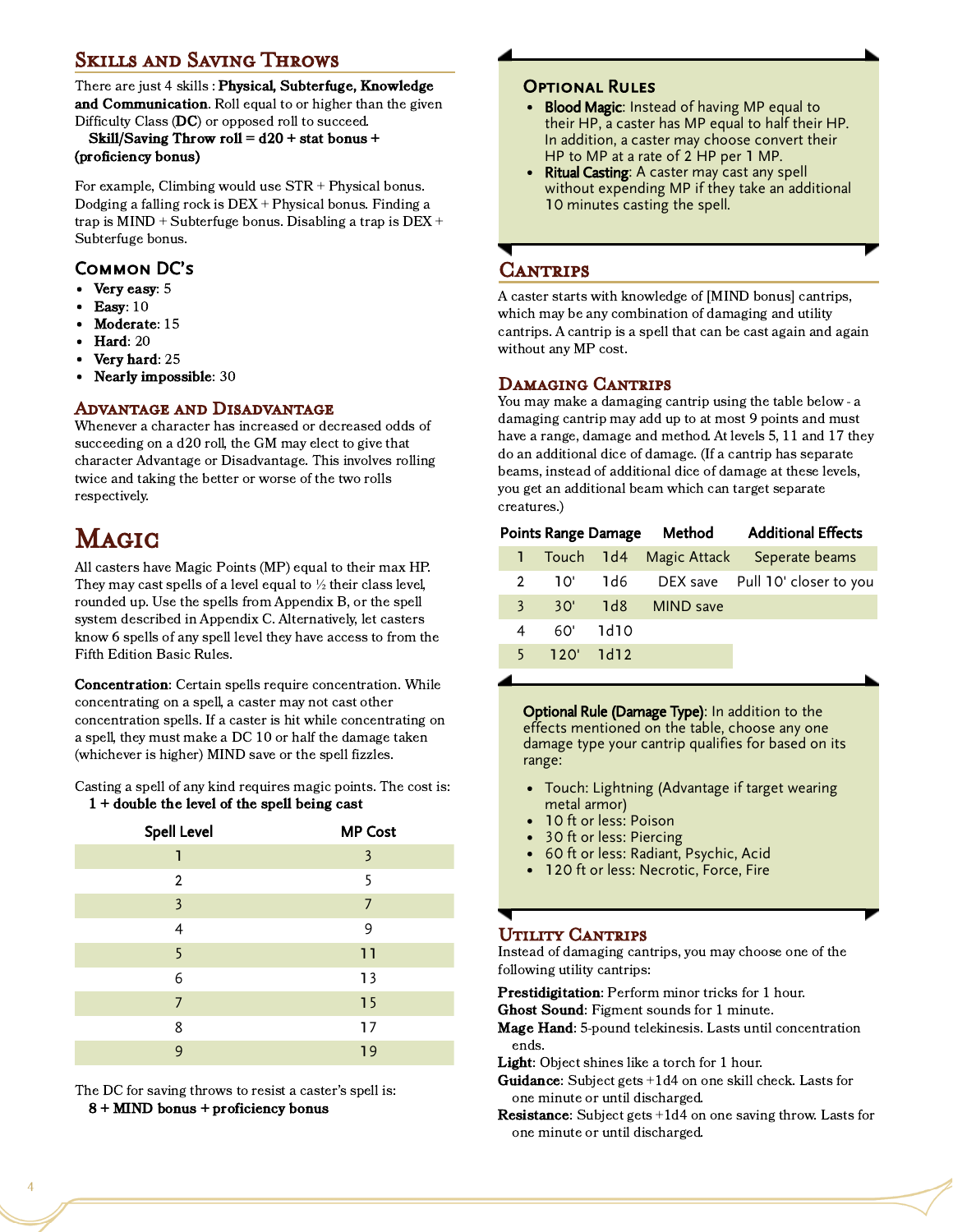### Skills and Saving Throws

There are just 4 skills : Physical, Subterfuge, Knowledge and Communication. Roll equal to or higher than the given Difficulty Class (DC) or opposed roll to succeed.

Skill/Saving Throw roll =  $d20 +$  stat bonus + (proficiency bonus)

For example, Climbing would use STR + Physical bonus. Dodging a falling rock is DEX + Physical bonus. Finding a trap is  $MIND + Subterfuge bonus. Disabling a trap is  $DEX +$$ Subterfuge bonus.

### Common DC's

- Very easy: 5
- Easy: 10
- Moderate: 15
- $\bullet$  Hard: 20
- Very hard: 25
- Nearly impossible: 30

#### Advantage and Disadvantage

Whenever a character has increased or decreased odds of succeeding on a d20 roll, the GM may elect to give that character Advantage or Disadvantage. This involves rolling twice and taking the better or worse of the two rolls respectively.

# Magic

All casters have Magic Points (MP) equal to their max HP. They may cast spells of a level equal to  $\frac{1}{2}$  their class level, rounded up. Use the spells from Appendix B, or the spell system described in Appendix C. Alternatively, let casters know 6 spells of any spell level they have access to from the Fifth Edition Basic Rules.

Concentration: Certain spells require concentration. While concentrating on a spell, a caster may not cast other concentration spells. If a caster is hit while concentrating on a spell, they must make a DC 10 or half the damage taken (whichever is higher) MIND save or the spell fizzles.

Casting a spell of any kind requires magic points. The cost is: 1 + double the level of the spell being cast

| <b>Spell Level</b> | <b>MP Cost</b> |
|--------------------|----------------|
| 1                  | 3              |
| $\overline{2}$     | 5              |
| $\overline{3}$     | $\overline{J}$ |
| 4                  | 9              |
| 5                  | 11             |
| 6                  | 13             |
| 7                  | 15             |
| 8                  | 17             |
| 9                  | 19             |

The DC for saving throws to resist a caster's spell is: 8 + MIND bonus + proficiency bonus

#### Optional Rules

- **Blood Magic:** Instead of having MP equal to their HP, a caster has MP equal to half their HP. In addition, a caster may choose convert their HP to MP at a rate of 2 HP per 1 MP.
- $\bullet$ Ritual Casting: A caster may cast any spell without expending MP if they take an additional 10 minutes casting the spell.

### CANTRIPS

A caster starts with knowledge of [MIND bonus] cantrips, which may be any combination of damaging and utility cantrips. A cantrip is a spell that can be cast again and again without any MP cost.

#### Damaging Cantrips

You may make a damaging cantrip using the table below - a damaging cantrip may add up to at most 9 points and must have a range, damage and method. At levels 5, 11 and 17 they do an additional dice of damage. (If a cantrip has separate beams, instead of additional dice of damage at these levels, you get an additional beam which can target separate creatures.)

|              |               |             |                   | Points Range Damage Method Additional Effects |
|--------------|---------------|-------------|-------------------|-----------------------------------------------|
|              |               |             |                   | 1 Touch 1d4 Magic Attack Seperate beams       |
|              | $2 \sqrt{10}$ |             |                   | 1d6 DEX save Pull 10' closer to you           |
| $\mathbf{3}$ |               |             | 30' 1d8 MIND save |                                               |
| 4            | 60'           | 1d10        |                   |                                               |
|              |               | 5 120' 1d12 |                   |                                               |
|              |               |             |                   |                                               |

Optional Rule (Damage Type): In addition to the effects mentioned on the table, choose any one damage type your cantrip qualifies for based on its range:

- Touch: Lightning (Advantage if target wearing metal armor)
- 10 ft or less: Poison
- 30 ft or less: Piercing
- 60 ft or less: Radiant, Psychic, Acid
- 120 ft or less: Necrotic, Force, Fire

### UTILITY CANTRIPS

Instead of damaging cantrips, you may choose one of the following utility cantrips:

Prestidigitation: Perform minor tricks for 1 hour.

- Ghost Sound: Figment sounds for 1 minute.
- Mage Hand: 5-pound telekinesis. Lasts until concentration ends.
- Light: Object shines like a torch for 1 hour.
- Guidance: Subject gets +1d4 on one skill check. Lasts for one minute or until discharged.
- **Resistance:** Subject gets  $+1d4$  on one saving throw. Lasts for one minute or until discharged.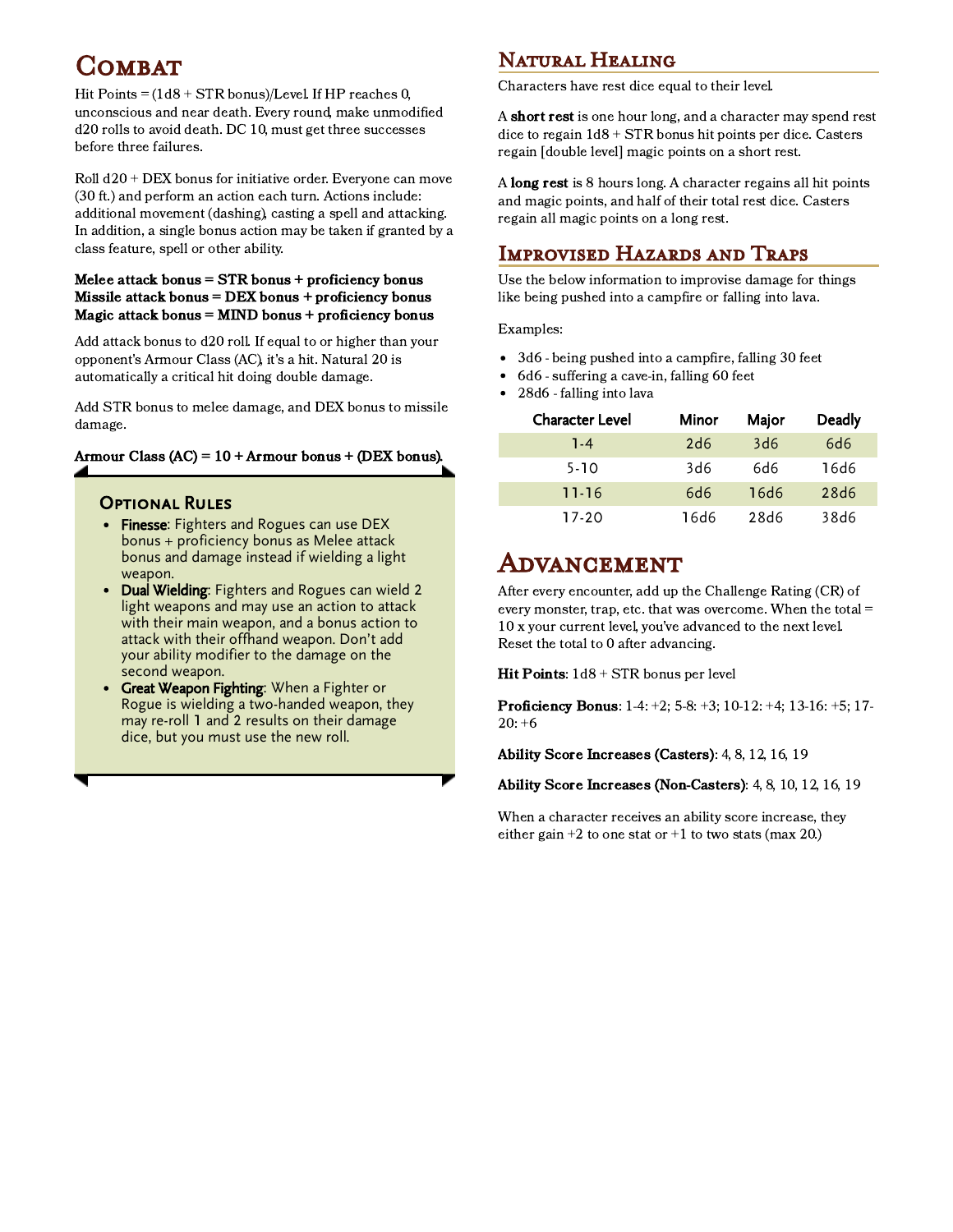# **COMBAT**

Hit Points =  $(1d8 + STR)$  bonus)/Level. If HP reaches 0, unconscious and near death. Every round, make unmodified d20 rolls to avoid death. DC 10, must get three successes before three failures.

Roll d20 + DEX bonus for initiative order. Everyone can move (30 ft.) and perform an action each turn. Actions include: additional movement (dashing), casting a spell and attacking. In addition, a single bonus action may be taken if granted by a class feature, spell or other ability.

#### Melee attack bonus = STR bonus + proficiency bonus Missile attack bonus = DEX bonus + proficiency bonus Magic attack bonus = MIND bonus + proficiency bonus

Add attack bonus to d20 roll. If equal to or higher than your opponent's Armour Class (AC), it's a hit. Natural 20 is automatically a critical hit doing double damage.

Add STR bonus to melee damage, and DEX bonus to missile damage.

#### Armour Class  $(AC) = 10 +$  Armour bonus + (DEX bonus).

#### **OPTIONAL RULES**

- Finesse: Fighters and Rogues can use DEX bonus + proficiency bonus as Melee attack bonus and damage instead if wielding a light weapon.
- Dual Wielding: Fighters and Rogues can wield 2 light weapons and may use an action to attack with their main weapon, and a bonus action to attack with their offhand weapon. Don't add your ability modifier to the damage on the second weapon.
- Great Weapon Fighting: When a Fighter or Rogue is wielding a two-handed weapon, they may re-roll 1 and 2 results on their damage dice, but you must use the new roll.

### Natural Healing

Characters have rest dice equal to their level.

A short rest is one hour long, and a character may spend rest dice to regain 1d8 + STR bonus hit points per dice. Casters regain [double level] magic points on a short rest.

A long rest is 8 hours long. A character regains all hit points and magic points, and half of their total rest dice. Casters regain all magic points on a long rest.

### Improvised Hazards and Traps

Use the below information to improvise damage for things like being pushed into a campfire or falling into lava.

Examples:

- 3d6 being pushed into a campfire, falling 30 feet  $\bullet$
- 6d6 suffering a cave-in, falling 60 feet
- 28d6 falling into lava

| <b>Character Level</b> | Minor | Major | <b>Deadly</b>     |  |
|------------------------|-------|-------|-------------------|--|
| 1-4                    | 2d6   | 3d6   | 6d6               |  |
| $5 - 10$               | 3d6   | 6d6   | 16d6              |  |
| $11 - 16$              | 6d6   | 16d6  | 28 <sub>d</sub> 6 |  |
| 17-20                  | 16d6  | 28d6  | 38d6              |  |

### Advancement

After every encounter, add up the Challenge Rating (CR) of every monster, trap, etc. that was overcome. When the total = 10 x your current level, you've advanced to the next level. Reset the total to 0 after advancing.

Hit Points:  $1d8 + STR$  bonus per level

Proficiency Bonus: 1-4: +2; 5-8: +3; 10-12: +4; 13-16: +5; 17- $20: +6$ 

Ability Score Increases (Casters): 4, 8, 12, 16, 19

Ability Score Increases (Non-Casters): 4, 8, 10, 12, 16, 19

When a character receives an ability score increase, they either gain  $+2$  to one stat or  $+1$  to two stats (max 20.)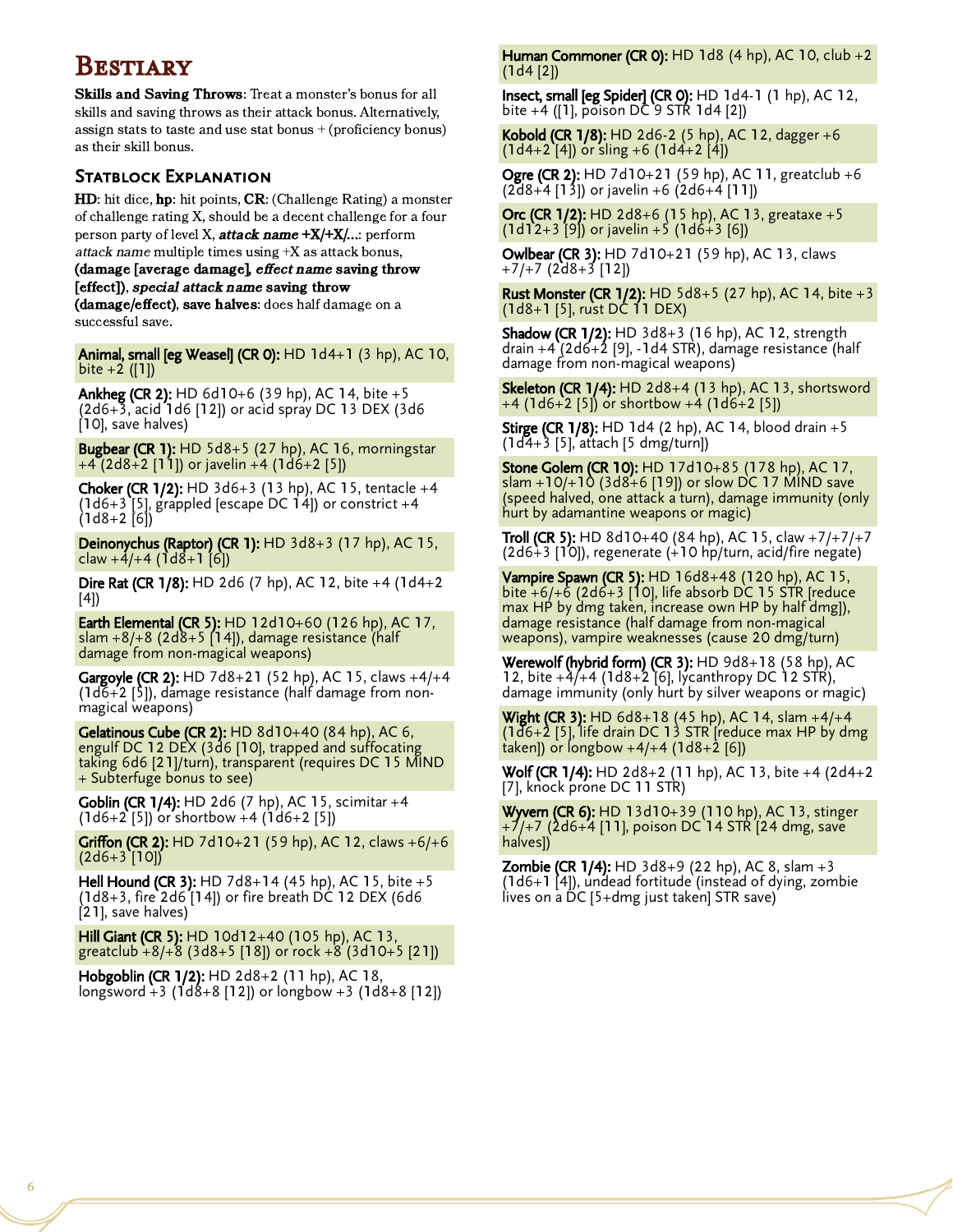### **BESTIARY**

Skills and Saving Throws: Treat a monster's bonus for all skills and saving throws as their attack bonus. Alternatively, assign stats to taste and use stat bonus + (proficiency bonus) as their skill bonus.

#### STATBLOCK EXPLANATION

HD: hit dice, hp: hit points, CR: (Challenge Rating) a monster of challenge rating X, should be a decent challenge for a four person party of level X, **attack name +X/+X/...**: perform attack name multiple times using +X as attack bonus, (damage [average damage], effect name saving throw [effect]), special attack name saving throw (damage/effect), save halves: does half damage on a

successful save.

Animal, small [eg Weasel] (CR 0): HD 1d4+1 (3 hp), AC 10,  $bite + 2 ([1])$ 

Ankheg (CR 2): HD 6d10+6 (39 hp), AC 14, bite +5 (2d6+3, acid 1d6 [12]) or acid spray DC 13 DEX (3d6 [10], save halves)

Bugbear (CR 1): HD 5d8+5 (27 hp), AC 16, morningstar +4 (2d8+2 [11]) or javelin +4 (1d6+2 [5])

**Choker (CR 1/2):** HD  $3d6+3$  (13 hp), AC 15, tentacle  $+4$  $(1d6+3 [5],$  grappled [escape DC  $14$ ]) or constrict  $+4$ (1d8+2 [6])

Deinonychus (Raptor) (CR 1): HD 3d8+3 (17 hp), AC 15, claw  $+4/+4$  (1d8+1 [6])

Dire Rat (CR 1/8): HD 2d6 (7 hp), AC 12, bite +4 (1d4+2 [4])

**Earth Elemental (CR 5): HD 12d10+60 (126 hp), AC 17,** slam +8/+8 (2d8+5 [14]), damage resistance (half damage from non-magical weapons)

Gargoyle (CR 2): HD 7d8+21 (52 hp), AC 15, claws +4/+4  $(1d\bar{6}+2\bar{5})$ , damage resistance (half damage from nonmagical weapons)

**Gelatinous Cube (CR 2):** HD  $8d10+40$  (84 hp), AC 6, engulf DC 12 DEX (3d6 [10], trapped and suffocating taking 6d6 [21]/turn), transparent (requires DC 15 MIND + Subterfuge bonus to see)

Goblin (CR 1/4): HD 2d6 (7 hp), AC 15, scimitar +4  $(1d6+2 [5])$  or shortbow  $+4 (1d6+2 [5])$ 

**Griffon (CR 2):** HD 7d10+21 (59 hp), AC 12, claws  $+6/+6$  $(2d6+3 [10])$ 

Hell Hound (CR 3): HD 7d8+14 (45 hp), AC 15, bite +5 (1d8+3, fire 2d6 [14]) or fire breath DC 12 DEX (6d6 [21], save halves)

Hill Giant (CR 5): HD 10d12+40 (105 hp), AC 13, greatclub +8/+8 (3d8+5 [18]) or rock +8 (3d10+5 [21])

Hobgoblin (CR 1/2): HD 2d8+2 (11 hp), AC 18, longsword +3 (1d8+8 [12]) or longbow +3 (1d8+8 [12]) Human Commoner (CR 0): HD 1d8  $(4$  hp), AC 10, club  $+2$ (1d4 [2])

Insect, small [eg Spider] (CR 0): HD 1d4-1 (1 hp), AC 12, bite +4 ([1], poison DC 9 STR 1d4 [2])

Kobold (CR 1/8): HD 2d6-2 (5 hp), AC 12, dagger +6  $(1d4+2 [4])$  or sling  $+6$   $(1d4+2 [4])$ 

**Ogre (CR 2):** HD 7d10+21 (59 hp), AC 11, greatclub +6  $(2d8+4 [13])$  or javelin +6  $(2d6+4 [11])$ 

Orc (CR 1/2): HD 2d8+6 (15 hp), AC 13, greataxe +5  $(1d12+3 [9])$  or javelin +5  $(1d6+3 [6])$ 

Owlbear (CR 3): HD 7d10+21 (59 hp), AC 13, claws +7/+7 (2d8+3 [12])

**Rust Monster (CR 1/2):** HD 5d8+5 (27 hp), AC 14, bite +3 (1d8+1 [5], rust DC 11 DEX)

Shadow (CR 1/2): HD 3d8+3 (16 hp), AC 12, strength drain  $+4$  (2d6+2 [9], -1d4 STR), damage resistance (half damage from non-magical weapons)

**Skeleton (CR 1/4):** HD 2d8+4 (13 hp), AC 13, shortsword +4 (1d6+2 [5]) or shortbow +4 (1d6+2 [5])

Stirge (CR 1/8): HD 1d4 (2 hp), AC 14, blood drain +5 (1d4+3 [5], attach [5 dmg/turn])

Stone Golem (CR 10): HD 17d10+85 (178 hp), AC 17, slam +10/+10 (3d8+6 [19]) or slow DC 17 MIND save (speed halved, one attack a turn), damage immunity (only hurt by adamantine weapons or magic)

**Troll (CR 5):** HD 8d10+40 (84 hp), AC 15, claw  $+7/+7/+7$ (2d6+3 [10]), regenerate (+10 hp/turn, acid/fire negate)

**Vampire Spawn (CR 5):** HD 16d8+48 (120 hp), AC 15, bite +6/+6 (2d6+3 [10], life absorb DC 15 STR [reduce max HP by dmg taken, increase own HP by half dmg]), damage resistance (half damage from non-magical weapons), vampire weaknesses (cause 20 dmg/turn)

Werewolf (hybrid form) (CR 3): HD 9d8+18 (58 hp), AC 12, bite  $+\frac{\lambda}{14}$  (1d8+2 [6], lycanthropy DC 12 STR), damage immunity (only hurt by silver weapons or magic)

**Wight (CR 3):** HD 6d8+18 (45 hp), AC 14, slam +4/+4 (1d6+2 [5], life drain DC 13 STR [reduce max HP by dmg  $t$ aken]) or longbow  $+4/+4$  (1d8+2 [6])

Wolf (CR 1/4): HD 2d8+2 (11 hp), AC 13, bite +4 (2d4+2 [7], knock prone DC 11 STR)

Wyvern (CR 6): HD 13d10+39 (110 hp), AC 13, stinger +7/+7 (2d6+4 [11], poison DC 14 STR [24 dmg, save halves])

**Zombie (CR 1/4):** HD  $3d8+9$  (22 hp), AC 8, slam  $+3$ (1d6+1 [4]), undead fortitude (instead of dying, zombie lives on a DC [5+dmg just taken] STR save)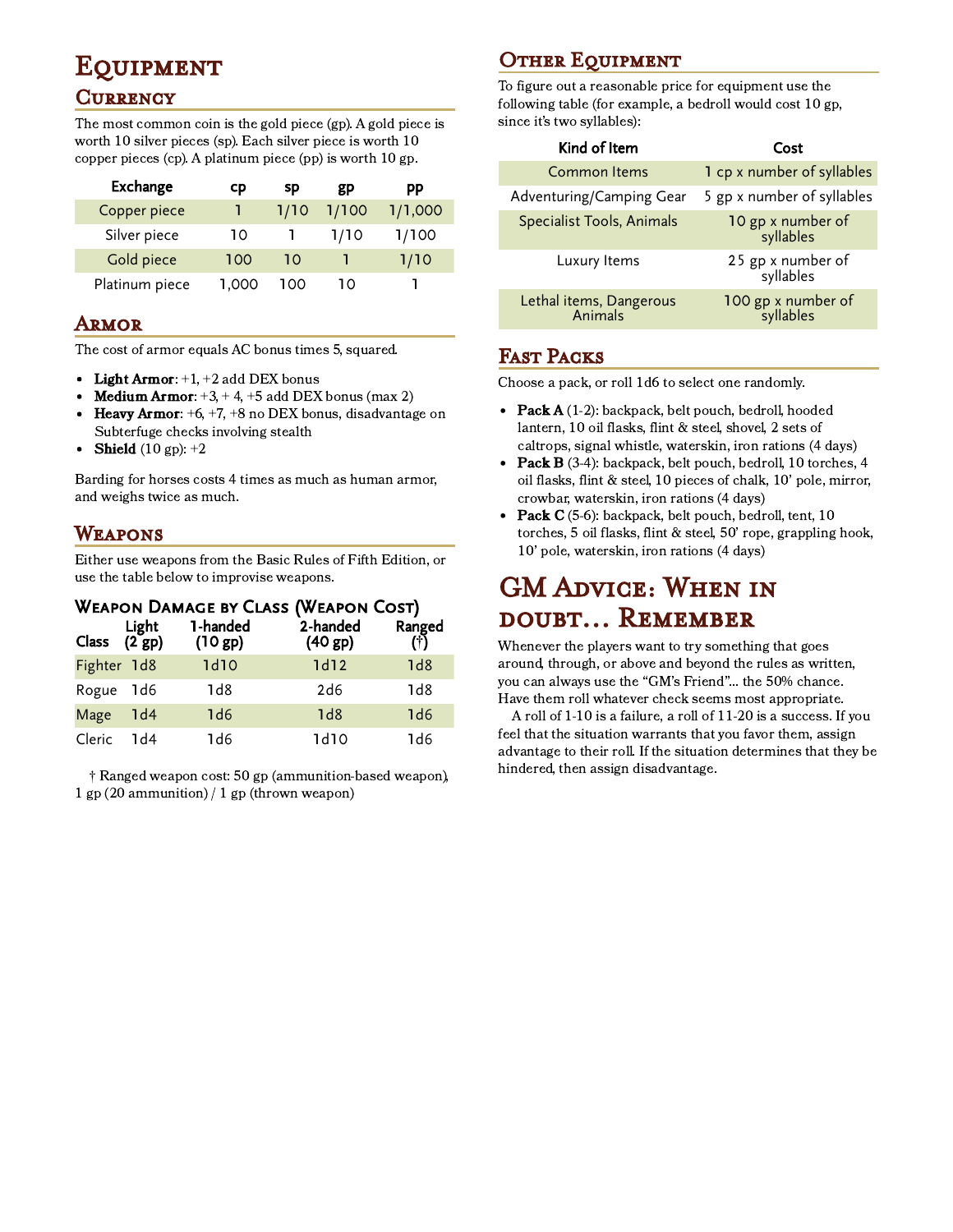# **EQUIPMENT**

#### **CURRENCY**

The most common coin is the gold piece (gp). A gold piece is worth 10 silver pieces (sp). Each silver piece is worth 10 copper pieces (cp). A platinum piece (pp) is worth 10 gp.

| Exchange       | cp    | sp   | gp    | рp      |
|----------------|-------|------|-------|---------|
| Copper piece   |       | 1/10 | 1/100 | 1/1,000 |
| Silver piece   | 10    |      | 1/10  | 1/100   |
| Gold piece     | 100   | 10   |       | 1/10    |
| Platinum piece | 1,000 | 100  | 10    |         |

#### Armor

The cost of armor equals AC bonus times 5, squared.

- Light Armor:  $+1$ ,  $+2$  add DEX bonus
- **Medium Armor:**  $+3$ ,  $+4$ ,  $+5$  add DEX bonus (max 2)
- **Heavy Armor:**  $+6$ ,  $+7$ ,  $+8$  no DEX bonus, disadvantage on  $\bullet$ Subterfuge checks involving stealth
- Shield  $(10 gp): +2$

Barding for horses costs 4 times as much as human armor, and weighs twice as much.

### Weapons

Either use weapons from the Basic Rules of Fifth Edition, or use the table below to improvise weapons.

|  |  | WEAPON DAMAGE BY CLASS (WEAPON COST) |  |
|--|--|--------------------------------------|--|
|  |  |                                      |  |

| Light<br>Class (2 gp) |                 | 1-handed<br>(10 gp) | 2-handed<br>(40 gp) | Ranged<br>(†) |
|-----------------------|-----------------|---------------------|---------------------|---------------|
| Fighter 1d8           |                 | 1d10                | 1d12                | 1d8           |
| Rogue 1d6             |                 | 1d8                 | 2d6                 | 1d8           |
| Mage                  | 1 <sub>d4</sub> | 1d6                 | 1d8                 | 1d6           |
| Cleric                | 1d4             | 1d6                 | 1d10                | 1d6           |

† Ranged weapon cost: 50 gp (ammunition-based weapon), 1 gp (20 ammunition) / 1 gp (thrown weapon)

### **OTHER EQUIPMENT**

To figure out a reasonable price for equipment use the following table (for example, a bedroll would cost 10 gp, since it's two syllables):

| Kind of Item                       | Cost                            |
|------------------------------------|---------------------------------|
| <b>Common Items</b>                | 1 cp x number of syllables      |
| Adventuring/Camping Gear           | 5 gp x number of syllables      |
| Specialist Tools, Animals          | 10 gp x number of<br>syllables  |
| Luxury Items                       | 25 gp x number of<br>syllables  |
| Lethal items, Dangerous<br>Animals | 100 gp x number of<br>syllables |

#### Fast Packs

Choose a pack, or roll 1d6 to select one randomly.

- Pack  $A(1-2)$ : backpack, belt pouch, bedroll, hooded lantern, 10 oil flasks, flint & steel, shovel, 2 sets of caltrops, signal whistle, waterskin, iron rations (4 days)
- $\bullet$ Pack B (3-4): backpack, belt pouch, bedroll, 10 torches, 4 oil flasks, flint & steel, 10 pieces of chalk, 10' pole, mirror, crowbar, waterskin, iron rations (4 days)
- $\bullet$ Pack C (5-6): backpack, belt pouch, bedroll, tent, 10 torches, 5 oil flasks, flint & steel, 50' rope, grappling hook, 10' pole, waterskin, iron rations (4 days)

### GM Advice: When in doubt... Remember

Whenever the players want to try something that goes around, through, or above and beyond the rules as written, you can always use the "GM's Friend"... the 50% chance. Have them roll whatever check seems most appropriate.

A roll of 1-10 is a failure, a roll of 11-20 is a success. If you feel that the situation warrants that you favor them, assign advantage to their roll. If the situation determines that they be hindered, then assign disadvantage.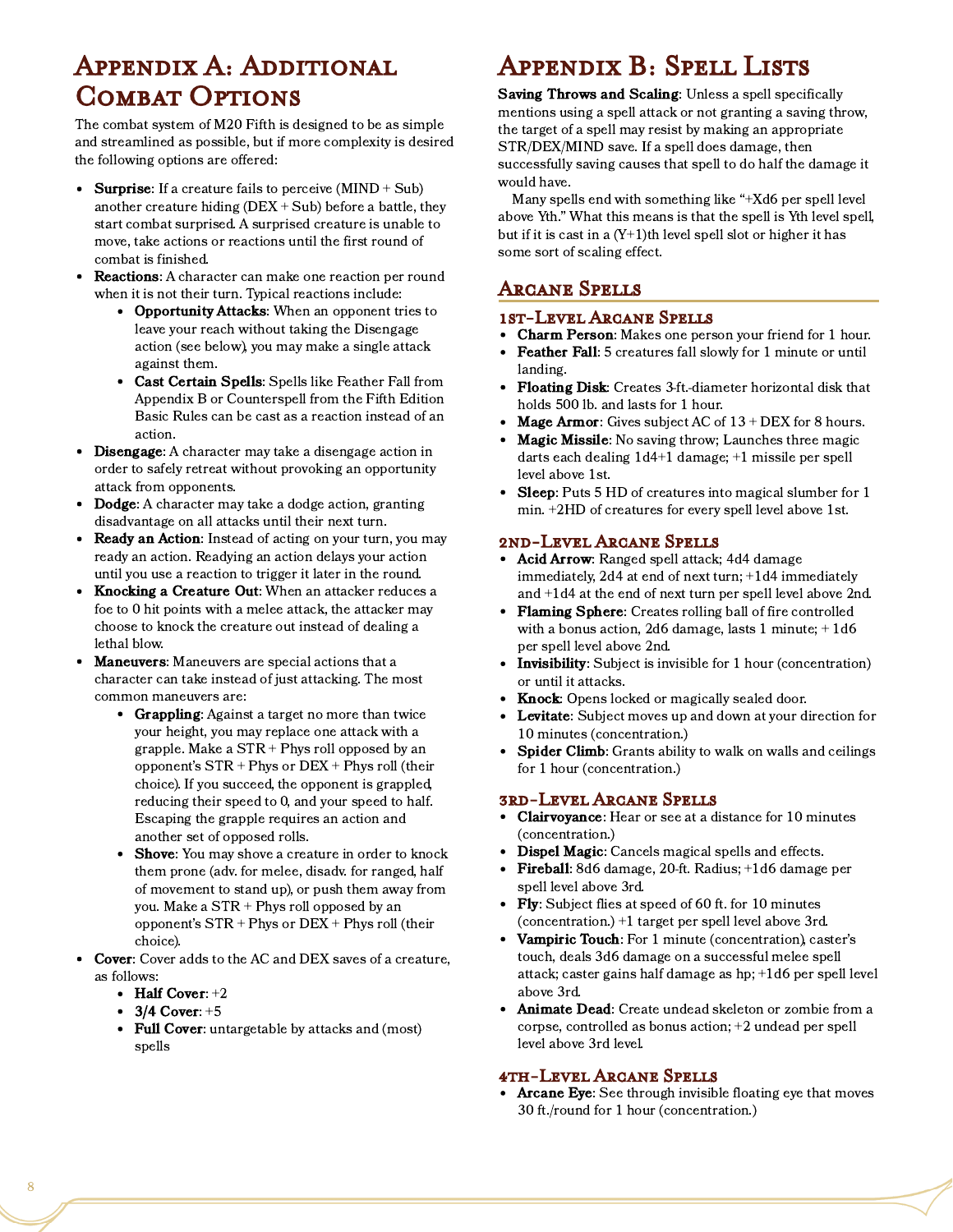# Appendix A: Additional COMBAT OPTIONS

The combat system of M20 Fifth is designed to be as simple and streamlined as possible, but if more complexity is desired the following options are offered:

- Surprise: If a creature fails to perceive  $(MIND + Sub)$ another creature hiding  $(DEX + Sub)$  before a battle, they start combat surprised. A surprised creature is unable to move, take actions or reactions until the first round of combat is finished.
- Reactions: A character can make one reaction per round when it is not their turn. Typical reactions include:
	- Opportunity Attacks: When an opponent tries to leave your reach without taking the Disengage action (see below), you may make a single attack against them.
	- Cast Certain Spells: Spells like Feather Fall from Appendix B or Counterspell from the Fifth Edition Basic Rules can be cast as a reaction instead of an action.
- Disengage: A character may take a disengage action in  $\bullet$ order to safely retreat without provoking an opportunity attack from opponents.
- Dodge: A character may take a dodge action, granting disadvantage on all attacks until their next turn.
- Ready an Action: Instead of acting on your turn, you may ready an action. Readying an action delays your action until you use a reaction to trigger it later in the round.
- Knocking a Creature Out: When an attacker reduces a foe to 0 hit points with a melee attack, the attacker may choose to knock the creature out instead of dealing a lethal blow.
- Maneuvers: Maneuvers are special actions that a character can take instead of just attacking. The most common maneuvers are:
	- Grappling: Against a target no more than twice your height, you may replace one attack with a grapple. Make a STR + Phys roll opposed by an opponent's STR + Phys or DEX + Phys roll (their choice). If you succeed, the opponent is grappled, reducing their speed to 0, and your speed to half. Escaping the grapple requires an action and another set of opposed rolls.
	- Shove: You may shove a creature in order to knock them prone (adv. for melee, disadv. for ranged, half of movement to stand up), or push them away from you. Make a STR + Phys roll opposed by an opponent's STR + Phys or DEX + Phys roll (their choice).
- Cover: Cover adds to the AC and DEX saves of a creature, as follows:
	- $\bullet$  Half Cover:  $+2$
	- $3/4$  Cover:  $+5$
	- Full Cover: untargetable by attacks and (most) spells

# Appendix B: Spell Lists

Saving Throws and Scaling: Unless a spell specifically mentions using a spell attack or not granting a saving throw, the target of a spell may resist by making an appropriate STR/DEX/MIND save. If a spell does damage, then successfully saving causes that spell to do half the damage it would have.

Many spells end with something like "+Xd6 per spell level above Yth." What this means is that the spell is Yth level spell, but if it is cast in a  $(Y+1)$ th level spell slot or higher it has some sort of scaling effect.

### Arcane Spells

#### 1st-Level Arcane Spells

- Charm Person: Makes one person your friend for 1 hour.
- Feather Fall: 5 creatures fall slowly for 1 minute or until  $\bullet$ landing.
- Floating Disk: Creates 3-ft.-diameter horizontal disk that holds 500 lb. and lasts for 1 hour.
- Mage Armor: Gives subject AC of  $13 + DEX$  for 8 hours.  $\bullet$
- Magic Missile: No saving throw; Launches three magic darts each dealing 1d4+1 damage; +1 missile per spell level above 1st.
- $\bullet$ Sleep: Puts 5 HD of creatures into magical slumber for 1 min. +2HD of creatures for every spell level above 1st.

#### 2nd-Level Arcane Spells

- Acid Arrow: Ranged spell attack; 4d4 damage immediately, 2d4 at end of next turn; +1d4 immediately and +1d4 at the end of next turn per spell level above 2nd.
- Flaming Sphere: Creates rolling ball of fire controlled with a bonus action, 2d6 damage, lasts 1 minute;  $+1d6$ per spell level above 2nd.
- Invisibility: Subject is invisible for 1 hour (concentration) or until it attacks.
- Knock: Opens locked or magically sealed door.
- Levitate: Subject moves up and down at your direction for 10 minutes (concentration.)
- Spider Climb: Grants ability to walk on walls and ceilings for 1 hour (concentration.)

#### 3rd-Level Arcane Spells

- Clairvoyance: Hear or see at a distance for 10 minutes (concentration.)
- $\bullet$ Dispel Magic: Cancels magical spells and effects.
- Fireball: 8d6 damage, 20-ft. Radius; +1d6 damage per spell level above 3rd.
- Fly: Subject flies at speed of 60 ft. for 10 minutes (concentration.) +1 target per spell level above 3rd.
- Vampiric Touch: For 1 minute (concentration), caster's touch, deals 3d6 damage on a successful melee spell attack; caster gains half damage as hp; +1d6 per spell level above 3rd.
- Animate Dead: Create undead skeleton or zombie from a corpse, controlled as bonus action; +2 undead per spell level above 3rd level.

#### 4th-Level Arcane Spells

Arcane Eye: See through invisible floating eye that moves 30 ft./round for 1 hour (concentration.)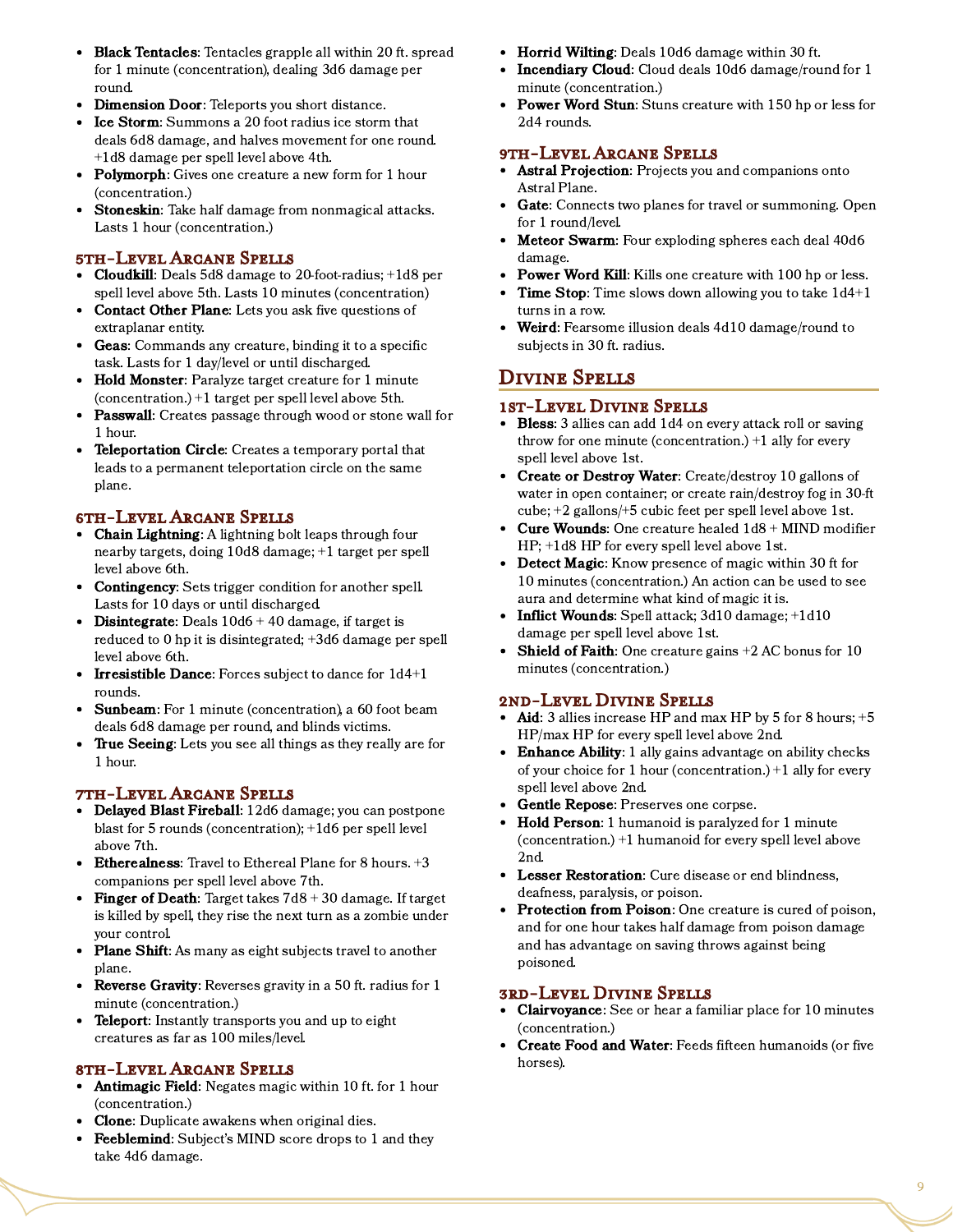- Black Tentacles: Tentacles grapple all within 20 ft. spread for 1 minute (concentration), dealing 3d6 damage per round.
- Dimension Door: Teleports you short distance.  $\bullet$
- $\bullet$ Ice Storm: Summons a 20 foot radius ice storm that deals 6d8 damage, and halves movement for one round. +1d8 damage per spell level above 4th.
- **Polymorph:** Gives one creature a new form for 1 hour  $\bullet$ (concentration.)
- Stoneskin: Take half damage from nonmagical attacks. Lasts 1 hour (concentration.)

#### 5th-Level Arcane Spells

- Cloudkill: Deals 5d8 damage to 20-foot-radius; +1d8 per spell level above 5th. Lasts 10 minutes (concentration)
- Contact Other Plane: Lets you ask five questions of  $\bullet$ extraplanar entity.
- Geas: Commands any creature, binding it to a specific task. Lasts for 1 day/level or until discharged.
- Hold Monster: Paralyze target creature for 1 minute  $\bullet$ (concentration.) +1 target per spell level above 5th.
- **Passwall:** Creates passage through wood or stone wall for 1 hour.
- Teleportation Circle: Creates a temporary portal that leads to a permanent teleportation circle on the same plane.

#### 6th-Level Arcane Spells

- Chain Lightning: A lightning bolt leaps through four nearby targets, doing 10d8 damage; +1 target per spell level above 6th.
- $\bullet$ Contingency: Sets trigger condition for another spell. Lasts for 10 days or until discharged.
- **Disintegrate:** Deals  $10d6 + 40$  damage, if target is  $\bullet$ reduced to 0 hp it is disintegrated; +3d6 damage per spell level above 6th.
- Irresistible Dance: Forces subject to dance for 1d4+1 rounds.
- Sunbeam: For 1 minute (concentration), a 60 foot beam deals 6d8 damage per round, and blinds victims.
- True Seeing: Lets you see all things as they really are for 1 hour.

#### 7th-Level Arcane Spells

- Delayed Blast Fireball: 12d6 damage; you can postpone blast for 5 rounds (concentration); +1d6 per spell level above 7th.
- Etherealness: Travel to Ethereal Plane for 8 hours. +3 companions per spell level above 7th.
- Finger of Death: Target takes  $7d8 + 30$  damage. If target is killed by spell, they rise the next turn as a zombie under your control.
- Plane Shift: As many as eight subjects travel to another plane.
- Reverse Gravity: Reverses gravity in a 50 ft. radius for 1 minute (concentration.)
- **Teleport:** Instantly transports you and up to eight  $\bullet$ creatures as far as 100 miles/level.

#### 8th-Level Arcane Spells

- Antimagic Field: Negates magic within 10 ft. for 1 hour (concentration.)
- Clone: Duplicate awakens when original dies.
- Feeblemind: Subject's MIND score drops to 1 and they take 4d6 damage.
- Horrid Wilting: Deals 10d6 damage within 30 ft.
- $\bullet$ Incendiary Cloud: Cloud deals 10d6 damage/round for 1 minute (concentration.)
- Power Word Stun: Stuns creature with 150 hp or less for 2d4 rounds.

#### 9th-Level Arcane Spells

- Astral Projection: Projects you and companions onto Astral Plane.
- Gate: Connects two planes for travel or summoning. Open for 1 round/level.
- Meteor Swarm: Four exploding spheres each deal 40d6  $\bullet$ damage.
- Power Word Kill: Kills one creature with 100 hp or less.  $\bullet$
- Time Stop: Time slows down allowing you to take  $1d4+1$ turns in a row.
- Weird: Fearsome illusion deals 4d10 damage/round to subjects in 30 ft. radius.

### Divine Spells

#### 1st-Level Divine Spells

- Bless: 3 allies can add 1d4 on every attack roll or saving throw for one minute (concentration.) +1 ally for every spell level above 1st.
- Create or Destroy Water: Create/destroy 10 gallons of water in open container; or create rain/destroy fog in 30-ft cube; +2 gallons/+5 cubic feet per spell level above 1st.
- Cure Wounds: One creature healed  $1d8 + MIND$  modifier HP; +1d8 HP for every spell level above 1st.
- Detect Magic: Know presence of magic within 30 ft for 10 minutes (concentration.) An action can be used to see aura and determine what kind of magic it is.
- Inflict Wounds: Spell attack; 3d10 damage; +1d10 damage per spell level above 1st.
- Shield of Faith: One creature gains +2 AC bonus for 10 minutes (concentration.)

#### 2nd-Level Divine Spells

- Aid: 3 allies increase HP and max HP by  $5$  for  $8$  hours;  $+5$ HP/max HP for every spell level above 2nd.
- Enhance Ability: 1 ally gains advantage on ability checks of your choice for 1 hour (concentration.) +1 ally for every spell level above 2nd.
- Gentle Repose: Preserves one corpse.
- Hold Person: 1 humanoid is paralyzed for 1 minute (concentration.) +1 humanoid for every spell level above 2nd.
- Lesser Restoration: Cure disease or end blindness, deafness, paralysis, or poison.
- Protection from Poison: One creature is cured of poison, and for one hour takes half damage from poison damage and has advantage on saving throws against being poisoned.

#### 3rd-Level Divine Spells

- Clairvoyance: See or hear a familiar place for 10 minutes (concentration.)
- Create Food and Water: Feeds fifteen humanoids (or five horses).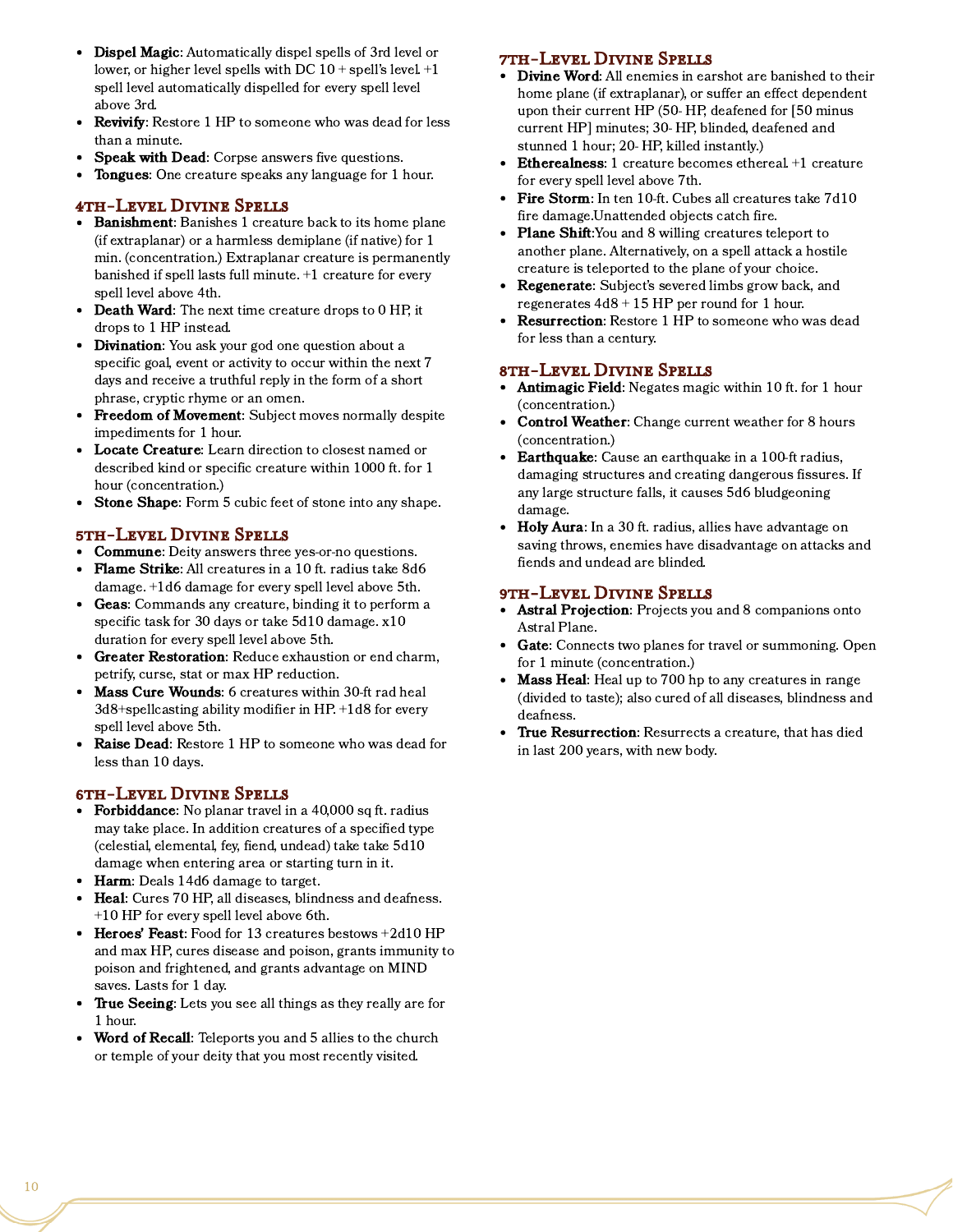- Dispel Magic: Automatically dispel spells of 3rd level or lower, or higher level spells with DC  $10 +$  spell's level.  $+1$ spell level automatically dispelled for every spell level above 3rd.
- Revivify: Restore 1 HP to someone who was dead for less  $\bullet$ than a minute.
- Speak with Dead: Corpse answers five questions.
- $\bullet$ Tongues: One creature speaks any language for 1 hour.

#### 4th-Level Divine Spells

- Banishment: Banishes 1 creature back to its home plane (if extraplanar) or a harmless demiplane (if native) for 1 min. (concentration.) Extraplanar creature is permanently banished if spell lasts full minute. +1 creature for every spell level above 4th.
- Death Ward: The next time creature drops to 0 HP, it drops to 1 HP instead.
- Divination: You ask your god one question about a specific goal, event or activity to occur within the next 7 days and receive a truthful reply in the form of a short phrase, cryptic rhyme or an omen.
- Freedom of Movement: Subject moves normally despite impediments for 1 hour.
- $\bullet$ Locate Creature: Learn direction to closest named or described kind or specific creature within 1000 ft. for 1 hour (concentration.)
- Stone Shape: Form 5 cubic feet of stone into any shape.  $\bullet$

#### 5th-Level Divine Spells

- Commune: Deity answers three yes-or-no questions.
- Flame Strike: All creatures in a 10 ft. radius take 8d6 damage. +1d6 damage for every spell level above 5th.
- Geas: Commands any creature, binding it to perform a specific task for 30 days or take 5d10 damage. x10 duration for every spell level above 5th.
- $\bullet$ Greater Restoration: Reduce exhaustion or end charm, petrify, curse, stat or max HP reduction.
- $\bullet$ Mass Cure Wounds: 6 creatures within 30-ft rad heal 3d8+spellcasting ability modifier in HP. +1d8 for every spell level above 5th.
- Raise Dead: Restore 1 HP to someone who was dead for less than 10 days.

#### 6th-Level Divine Spells

- Forbiddance: No planar travel in a 40,000 sq ft. radius may take place. In addition creatures of a specified type (celestial, elemental, fey, fiend, undead) take take 5d10 damage when entering area or starting turn in it.
- Harm: Deals 14d6 damage to target.
- Heal: Cures 70 HP, all diseases, blindness and deafness. +10 HP for every spell level above 6th.
- Heroes' Feast: Food for 13 creatures bestows +2d10 HP and max HP, cures disease and poison, grants immunity to poison and frightened, and grants advantage on MIND saves. Lasts for 1 day.
- True Seeing: Lets you see all things as they really are for 1 hour.
- Word of Recall: Teleports you and 5 allies to the church or temple of your deity that you most recently visited.

#### 7th-Level Divine Spells

- Divine Word: All enemies in earshot are banished to their home plane (if extraplanar), or suffer an effect dependent upon their current HP (50- HP, deafened for [50 minus current HP] minutes; 30- HP, blinded, deafened and stunned 1 hour; 20- HP, killed instantly.)
- Etherealness: 1 creature becomes ethereal. +1 creature for every spell level above 7th.
- Fire Storm: In ten 10-ft. Cubes all creatures take 7d10 fire damage.Unattended objects catch fire.
- Plane Shift:You and 8 willing creatures teleport to  $\bullet$ another plane. Alternatively, on a spell attack a hostile creature is teleported to the plane of your choice.
- Regenerate: Subject's severed limbs grow back, and regenerates 4d8 + 15 HP per round for 1 hour.
- $\bullet$ Resurrection: Restore 1 HP to someone who was dead for less than a century.

#### 8th-Level Divine Spells

- Antimagic Field: Negates magic within 10 ft. for 1 hour (concentration.)
- $\bullet$ Control Weather: Change current weather for 8 hours (concentration.)
- Earthquake: Cause an earthquake in a 100-ft radius, damaging structures and creating dangerous fissures. If any large structure falls, it causes 5d6 bludgeoning damage.
- Holy Aura: In a 30 ft. radius, allies have advantage on saving throws, enemies have disadvantage on attacks and fiends and undead are blinded.

#### 9th-Level Divine Spells

- Astral Projection: Projects you and 8 companions onto Astral Plane.
- Gate: Connects two planes for travel or summoning. Open for 1 minute (concentration.)
- **Mass Heal:** Heal up to 700 hp to any creatures in range (divided to taste); also cured of all diseases, blindness and deafness.
- True Resurrection: Resurrects a creature, that has died in last 200 years, with new body.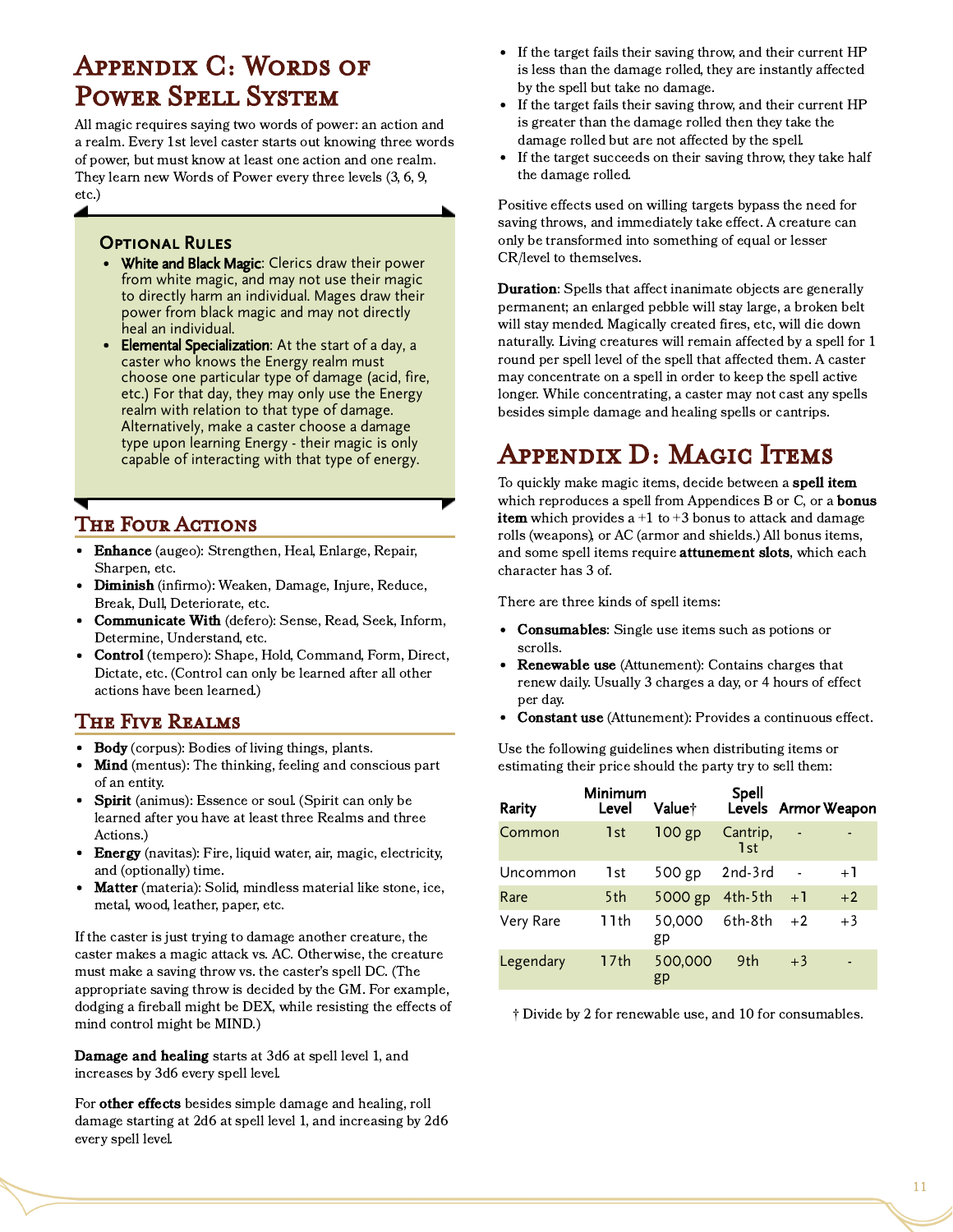# Appendix C: Words of Power Spell System

All magic requires saying two words of power: an action and a realm. Every 1st level caster starts out knowing three words of power, but must know at least one action and one realm. They learn new Words of Power every three levels (3, 6, 9, etc.)

### **OPTIONAL RULES**

- White and Black Magic: Clerics draw their power from white magic, and may not use their magic to directly harm an individual. Mages draw their power from black magic and may not directly heal an individual.
- Elemental Specialization: At the start of a day, a caster who knows the Energy realm must choose one particular type of damage (acid, fire, etc.) For that day, they may only use the Energy realm with relation to that type of damage. Alternatively, make a caster choose a damage type upon learning Energy - their magic is only capable of interacting with that type of energy.

### The Four Actions

- Enhance (augeo): Strengthen, Heal, Enlarge, Repair, Sharpen, etc.
- Diminish (infirmo): Weaken, Damage, Injure, Reduce, Break, Dull, Deteriorate, etc.
- Communicate With (defero): Sense, Read, Seek, Inform, Determine, Understand, etc.
- Control (tempero): Shape, Hold, Command, Form, Direct, Dictate, etc. (Control can only be learned after all other actions have been learned.)

### The Five Realms

- Body (corpus): Bodies of living things, plants.
- Mind (mentus): The thinking, feeling and conscious part  $\bullet$ of an entity.
- Spirit (animus): Essence or soul. (Spirit can only be learned after you have at least three Realms and three Actions.)
- Energy (navitas): Fire, liquid water, air, magic, electricity, and (optionally) time.
- Matter (materia): Solid, mindless material like stone, ice, metal, wood, leather, paper, etc.

If the caster is just trying to damage another creature, the caster makes a magic attack vs. AC. Otherwise, the creature must make a saving throw vs. the caster's spell DC. (The appropriate saving throw is decided by the GM. For example, dodging a fireball might be DEX, while resisting the effects of mind control might be MIND.)

Damage and healing starts at 3d6 at spell level 1, and increases by 3d6 every spell level.

For other effects besides simple damage and healing, roll damage starting at 2d6 at spell level 1, and increasing by 2d6 every spell level.

- If the target fails their saving throw, and their current HP is less than the damage rolled, they are instantly affected by the spell but take no damage.
- If the target fails their saving throw, and their current HP is greater than the damage rolled then they take the damage rolled but are not affected by the spell.
- If the target succeeds on their saving throw, they take half  $\bullet$ the damage rolled.

Positive effects used on willing targets bypass the need for saving throws, and immediately take effect. A creature can only be transformed into something of equal or lesser CR/level to themselves.

**Duration:** Spells that affect inanimate objects are generally permanent; an enlarged pebble will stay large, a broken belt will stay mended. Magically created fires, etc, will die down naturally. Living creatures will remain affected by a spell for 1 round per spell level of the spell that affected them. A caster may concentrate on a spell in order to keep the spell active longer. While concentrating, a caster may not cast any spells besides simple damage and healing spells or cantrips.

# Appendix D: Magic Items

To quickly make magic items, decide between a **spell item** which reproduces a spell from Appendices B or C, or a **bonus item** which provides a  $+1$  to  $+3$  bonus to attack and damage rolls (weapons), or AC (armor and shields.) All bonus items, and some spell items require **attunement slots**, which each character has 3 of.

There are three kinds of spell items:

- Consumables: Single use items such as potions or scrolls.
- Renewable use (Attunement): Contains charges that renew daily. Usually 3 charges a day, or 4 hours of effect per day.
- Constant use (Attunement): Provides a continuous effect.

Use the following guidelines when distributing items or estimating their price should the party try to sell them:

| Rarity    | Minimum<br>Level | Value†        | Spell           |      | Levels Armor Weapon |
|-----------|------------------|---------------|-----------------|------|---------------------|
| Common    | 1st              | $100$ gp      | Cantrip,<br>1st |      |                     |
| Uncommon  | 1st              | 500 gp        | $2nd-3rd$       |      | $+1$                |
| Rare      | 5th              | 5000 gp       | 4th-5th         | $+1$ | $+2$                |
| Very Rare | 11th             | 50,000<br>gp  | 6th-8th         | $+2$ | $+3$                |
| Legendary | 17th             | 500,000<br>gp | 9th             | $+3$ |                     |

† Divide by 2 for renewable use, and 10 for consumables.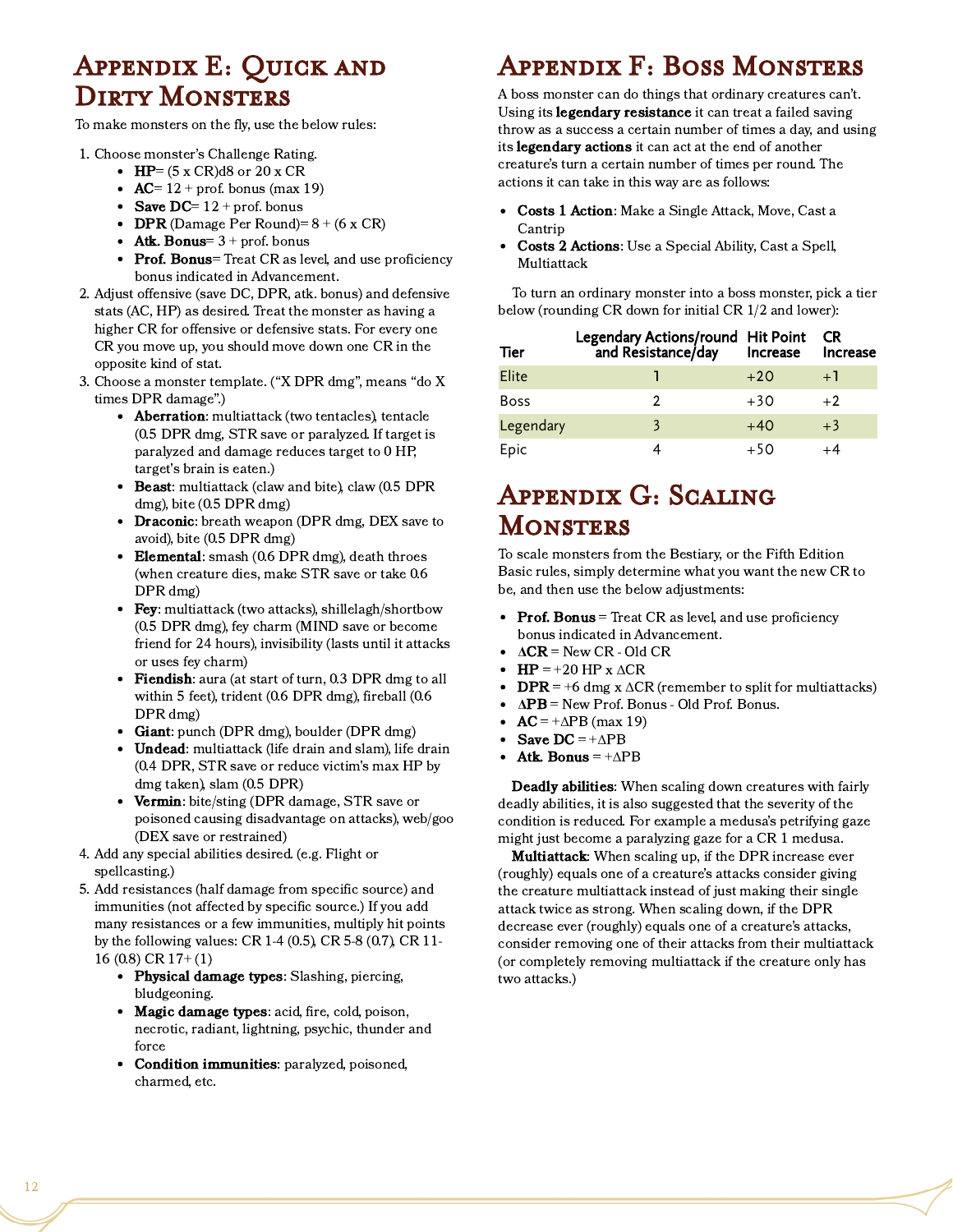## Appendix E: Quick and DIRTY MONSTERS

To make monsters on the fly, use the below rules:

- 1. Choose monster's Challenge Rating.
	- $\bullet$  HP= (5 x CR)d8 or 20 x CR
	- $AC= 12 + \text{prof.}$  bonus (max 19)
	- Save DC=  $12 + \text{prof.}$  bonus
	- DPR (Damage Per Round)=  $8 + (6 \times CR)$
	- Atk. Bonus=  $3 + \text{prof.}$  bonus
	- Prof. Bonus= Treat CR as level, and use proficiency bonus indicated in Advancement.
- 2. Adjust offensive (save DC, DPR, atk. bonus) and defensive stats (AC, HP) as desired. Treat the monster as having a higher CR for offensive or defensive stats. For every one CR you move up, you should move down one CR in the opposite kind of stat.
- 3. Choose a monster template. ("X DPR dmg", means "do X times DPR damage".)
	- Aberration: multiattack (two tentacles), tentacle (0.5 DPR dmg, STR save or paralyzed. If target is paralyzed and damage reduces target to 0 HP, target's brain is eaten.)
	- Beast: multiattack (claw and bite), claw (0.5 DPR  $\bullet$ dmg), bite (0.5 DPR dmg)
	- Draconic: breath weapon (DPR dmg, DEX save to avoid), bite (0.5 DPR dmg)
	- Elemental: smash (0.6 DPR dmg), death throes (when creature dies, make STR save or take 0.6 DPR dmg)
	- Fey: multiattack (two attacks), shillelagh/shortbow (0.5 DPR dmg), fey charm (MIND save or become friend for 24 hours), invisibility (lasts until it attacks or uses fey charm)
	- Fiendish: aura (at start of turn, 0.3 DPR dmg to all within 5 feet), trident (0.6 DPR dmg), fireball (0.6 DPR dmg)
	- Giant: punch (DPR dmg), boulder (DPR dmg)
	- Undead: multiattack (life drain and slam), life drain (0.4 DPR, STR save or reduce victim's max HP by dmg taken), slam (0.5 DPR)
	- Vermin: bite/sting (DPR damage, STR save or poisoned causing disadvantage on attacks), web/goo (DEX save or restrained)
- 4. Add any special abilities desired. (e.g. Flight or spellcasting.)
- 5. Add resistances (half damage from specific source) and immunities (not affected by specific source.) If you add many resistances or a few immunities, multiply hit points by the following values: CR 1-4 (0.5), CR 5-8 (0.7), CR 11- 16 (0.8) CR 17+ (1)
	- Physical damage types: Slashing, piercing, bludgeoning.
	- Magic damage types: acid, fire, cold, poison, necrotic, radiant, lightning, psychic, thunder and force
	- Condition immunities: paralyzed, poisoned,  $\bullet$ charmed, etc.

# Appendix F: Boss Monsters

A boss monster can do things that ordinary creatures can't. Using its *legendary resistance* it can treat a failed saving throw as a success a certain number of times a day, and using its **legendary actions** it can act at the end of another creature's turn a certain number of times per round. The actions it can take in this way are as follows:

- Costs 1 Action: Make a Single Attack, Move, Cast a Cantrip
- Costs 2 Actions: Use a Special Ability, Cast a Spell, Multiattack

To turn an ordinary monster into a boss monster, pick a tier below (rounding CR down for initial CR 1/2 and lower):

| Tier        | Legendary Actions/round Hit Point<br>and Resistance/day Increase |       | <b>CR</b><br>Increase |
|-------------|------------------------------------------------------------------|-------|-----------------------|
| Elite       |                                                                  | $+20$ | $+1$                  |
| <b>Boss</b> |                                                                  | $+30$ | $+2$                  |
| Legendary   |                                                                  | $+40$ | $+3$                  |
| Epic        |                                                                  | $+50$ |                       |

# Appendix G: Scaling **MONSTERS**

To scale monsters from the Bestiary, or the Fifth Edition Basic rules, simply determine what you want the new CR to be, and then use the below adjustments:

- Prof. Bonus  $=$  Treat CR as level, and use proficiency bonus indicated in Advancement.
- $\triangle$   $\triangle$  CR = New CR Old CR
- $\bullet$  HP = +20 HP x  $\triangle$ CR
- $\text{DPR} = +6$  dmg x  $\Delta \text{CR}$  (remember to split for multiattacks)  $\bullet$
- ΔPB = New Prof. Bonus Old Prof. Bonus.
- $AC = +\Delta PB$  (max 19)
- Save  $DC = +\Delta PB$
- $\bullet$ Atk. Bonus =  $+\Delta PB$

Deadly abilities: When scaling down creatures with fairly deadly abilities, it is also suggested that the severity of the condition is reduced. For example a medusa's petrifying gaze might just become a paralyzing gaze for a CR 1 medusa.

Multiattack: When scaling up, if the DPR increase ever (roughly) equals one of a creature's attacks consider giving the creature multiattack instead of just making their single attack twice as strong. When scaling down, if the DPR decrease ever (roughly) equals one of a creature's attacks, consider removing one of their attacks from their multiattack (or completely removing multiattack if the creature only has two attacks.)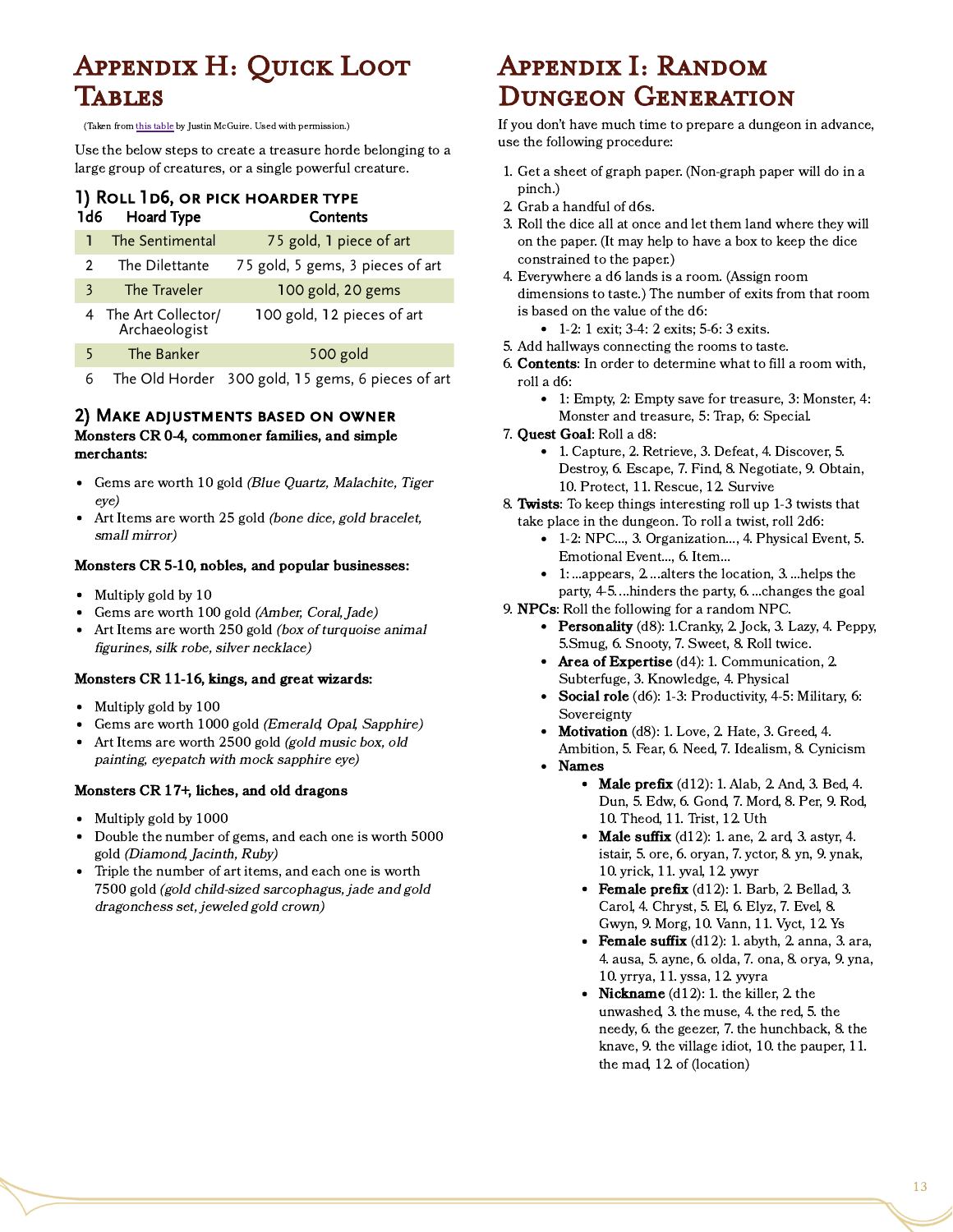# Appendix H: Quick Loot **TABLES**

(Taken from this [table](https://www.reddit.com/r/DnDBehindTheScreen/comments/54stxb/the_1d6_loot_table/) by Justin McGuire. Used with permission.)

Use the below steps to create a treasure horde belonging to a large group of creatures, or a single powerful creature.

#### 1) Roll 1d6, or pick hoarder type 1d6 Hoard Type Contents

|       | The Sentimental                       | 75 gold, 1 piece of art          |
|-------|---------------------------------------|----------------------------------|
|       | The Dilettante                        | 75 gold, 5 gems, 3 pieces of art |
| 3     | The Traveler                          | 100 gold, 20 gems                |
|       | 4 The Art Collector/<br>Archaeologist | 100 gold, 12 pieces of art       |
| $5 -$ | The Banker                            | 500 gold                         |

6 The Old Horder 300 gold, 15 gems, 6 pieces of art

#### 2) Make adjustments based on owner

Monsters CR 0-4, commoner families, and simple merchants:

- Gems are worth 10 gold (Blue Quartz, Malachite, Tiger eye)
- Art Items are worth 25 gold (bone dice, gold bracelet, small mirror)

#### Monsters CR 5-10, nobles, and popular businesses:

- Multiply gold by 10
- Gems are worth 100 gold (Amber, Coral, Jade)
- Art Items are worth 250 gold (box of turquoise animal figurines, silk robe, silver necklace)

#### Monsters CR 11-16, kings, and great wizards:

- Multiply gold by 100
- Gems are worth 1000 gold (Emerald, Opal, Sapphire)
- Art Items are worth 2500 gold (gold music box, old  $\bullet$ painting, eyepatch with mock sapphire eye)

#### Monsters CR 17+, liches, and old dragons

- Multiply gold by 1000  $\bullet$
- Double the number of gems, and each one is worth 5000 gold (Diamond, Jacinth, Ruby)
- Triple the number of art items, and each one is worth 7500 gold (gold child-sized sarcophagus, jade and gold dragonchess set, jeweled gold crown)

# Appendix I: Random Dungeon Generation

If you don't have much time to prepare a dungeon in advance, use the following procedure:

- 1. Get a sheet of graph paper. (Non-graph paper will do in a pinch.)
- 2. Grab a handful of d6s.
- 3. Roll the dice all at once and let them land where they will on the paper. (It may help to have a box to keep the dice constrained to the paper.)
- 4. Everywhere a d6 lands is a room. (Assign room dimensions to taste.) The number of exits from that room is based on the value of the d6:
	- 1-2: 1 exit: 3-4: 2 exits: 5-6: 3 exits.
- 5. Add hallways connecting the rooms to taste.
- 6. Contents: In order to determine what to fill a room with, roll a d6:
	- 1: Empty, 2: Empty save for treasure, 3: Monster, 4: Monster and treasure, 5: Trap, 6: Special.
- 7. Quest Goal: Roll a d8:
	- 1. Capture, 2. Retrieve, 3. Defeat, 4. Discover, 5. Destroy, 6. Escape, 7. Find, 8. Negotiate, 9. Obtain, 10. Protect, 11. Rescue, 12. Survive
- 8. Twists: To keep things interesting roll up 1-3 twists that take place in the dungeon. To roll a twist, roll 2d6:
	- 1-2: NPC…, 3. Organization…, 4. Physical Event, 5. Emotional Event..., 6. Item…
	- 1: ...appears, 2. ...alters the location, 3. ...helps the party, 4-5. ...hinders the party, 6. ...changes the goal
- 9. NPCs: Roll the following for a random NPC.
	- Personality (d8): 1. Cranky, 2. Jock, 3. Lazy, 4. Peppy, 5.Smug, 6. Snooty, 7. Sweet, 8. Roll twice.
	- Area of Expertise (d4): 1. Communication, 2. Subterfuge, 3. Knowledge, 4. Physical
	- Social role  $(d6)$ : 1-3: Productivity, 4-5: Military, 6: Sovereignty
	- Motivation (d8): 1. Love, 2. Hate, 3. Greed, 4. Ambition, 5. Fear, 6. Need, 7. Idealism, 8. Cynicism
	- Names
		- Male prefix  $(d12)$ : 1. Alab, 2. And, 3. Bed, 4. Dun, 5. Edw, 6. Gond, 7. Mord, 8. Per, 9. Rod, 10. Theod, 11. Trist, 12. Uth
		- Male suffix  $(d12)$ : 1. ane, 2. ard, 3. astyr, 4. istair, 5. ore, 6. oryan, 7. yctor, 8. yn, 9. ynak, 10. yrick, 11. yval, 12. ywyr
		- Female prefix  $(d12)$ : 1. Barb, 2. Bellad, 3. Carol, 4. Chryst, 5. El, 6. Elyz, 7. Evel, 8. Gwyn, 9. Morg, 10. Vann, 11. Vyct, 12. Ys
		- Female suffix  $(d12)$ : 1. abyth, 2. anna, 3. ara, 4. ausa, 5. ayne, 6. olda, 7. ona, 8. orya, 9. yna, 10. yrrya, 11. yssa, 12. yvyra
		- Nickname  $(d12)$ : 1. the killer, 2. the unwashed, 3. the muse, 4. the red, 5. the needy, 6. the geezer, 7. the hunchback, 8. the knave, 9. the village idiot, 10. the pauper, 11. the mad, 12. of (location)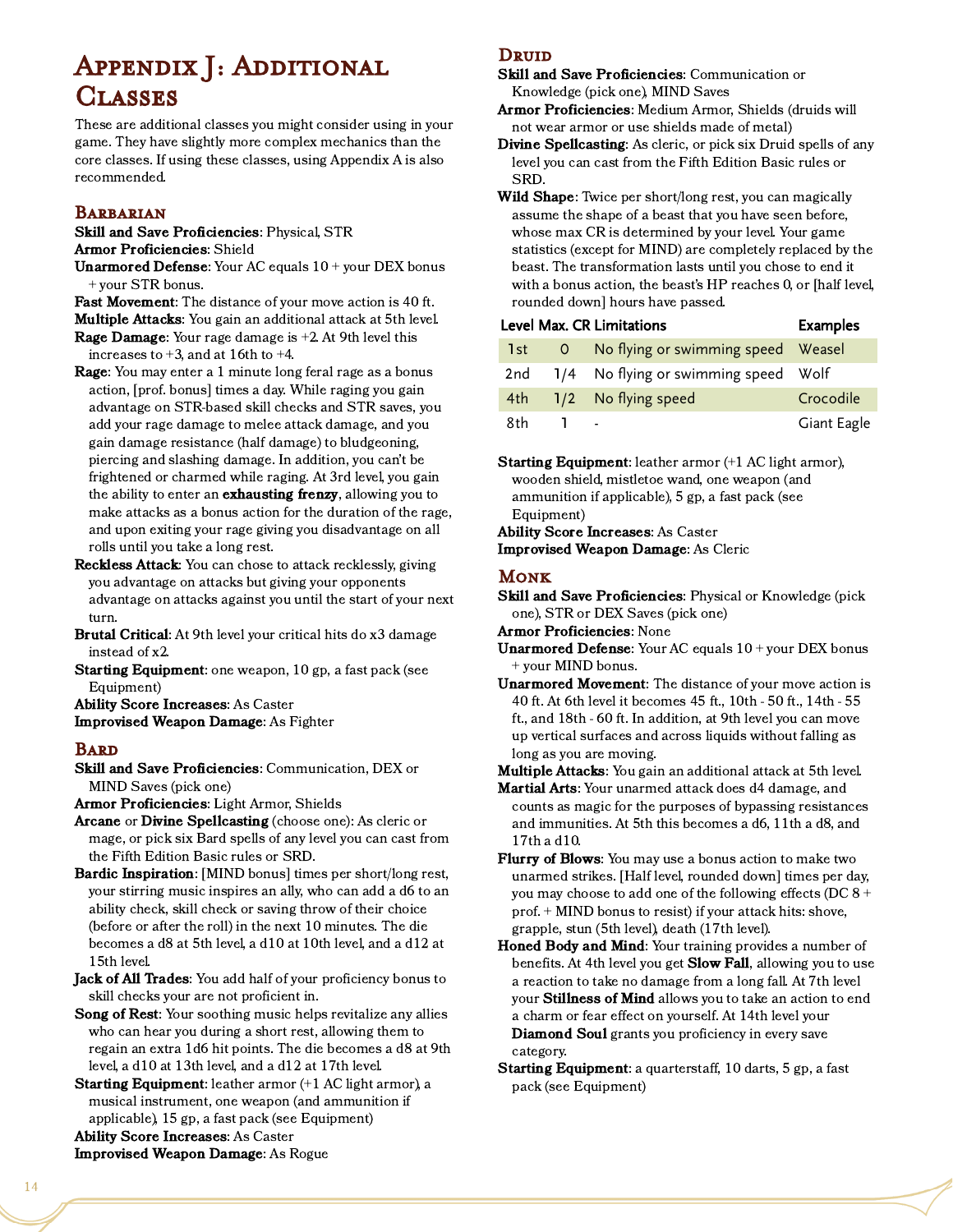# Appendix J: Additional **CLASSES**

These are additional classes you might consider using in your game. They have slightly more complex mechanics than the core classes. If using these classes, using Appendix A is also recommended.

#### **BARBARIAN**

Skill and Save Proficiencies: Physical, STR Armor Proficiencies: Shield

- **Unarmored Defense:** Your AC equals  $10 +$  your DEX bonus + your STR bonus.
- Fast Movement: The distance of your move action is 40 ft. Multiple Attacks: You gain an additional attack at 5th level.
- **Rage Damage:** Your rage damage is  $+2$ . At 9th level this increases to  $+3$ , and at 16th to  $+4$ .
- **Rage:** You may enter a 1 minute long feral rage as a bonus action, [prof. bonus] times a day. While raging you gain advantage on STR-based skill checks and STR saves, you add your rage damage to melee attack damage, and you gain damage resistance (half damage) to bludgeoning, piercing and slashing damage. In addition, you can't be frightened or charmed while raging. At 3rd level, you gain the ability to enter an **exhausting frenzy**, allowing you to make attacks as a bonus action for the duration of the rage, and upon exiting your rage giving you disadvantage on all rolls until you take a long rest.
- Reckless Attack: You can chose to attack recklessly, giving you advantage on attacks but giving your opponents advantage on attacks against you until the start of your next turn.
- Brutal Critical: At 9th level your critical hits do x3 damage instead of x2.
- Starting Equipment: one weapon, 10 gp, a fast pack (see Equipment)
- Ability Score Increases: As Caster
- Improvised Weapon Damage: As Fighter

#### **BARD**

Skill and Save Proficiencies: Communication, DEX or MIND Saves (pick one)

Armor Proficiencies: Light Armor, Shields

- Arcane or Divine Spellcasting (choose one): As cleric or mage, or pick six Bard spells of any level you can cast from the Fifth Edition Basic rules or SRD.
- Bardic Inspiration: [MIND bonus] times per short/long rest, your stirring music inspires an ally, who can add a d6 to an ability check, skill check or saving throw of their choice (before or after the roll) in the next 10 minutes. The die becomes a d8 at 5th level, a d10 at 10th level, and a d12 at 15th level.
- Jack of All Trades: You add half of your proficiency bonus to skill checks your are not proficient in.
- Song of Rest: Your soothing music helps revitalize any allies who can hear you during a short rest, allowing them to regain an extra 1d6 hit points. The die becomes a d8 at 9th level, a d10 at 13th level, and a d12 at 17th level.
- Starting Equipment: leather armor (+1 AC light armor), a musical instrument, one weapon (and ammunition if applicable), 15 gp, a fast pack (see Equipment) Ability Score Increases: As Caster

assume the shape of a beast that you have seen before, whose max CR is determined by your level. Your game statistics (except for MIND) are completely replaced by the

SRD.

**DRUID** 

beast. The transformation lasts until you chose to end it with a bonus action, the beast's HP reaches 0, or [half level, rounded down] hours have passed.

Skill and Save Proficiencies: Communication or

Armor Proficiencies: Medium Armor, Shields (druids will not wear armor or use shields made of metal)

Wild Shape: Twice per short/long rest, you can magically

Divine Spellcasting: As cleric, or pick six Druid spells of any level you can cast from the Fifth Edition Basic rules or

Knowledge (pick one), MIND Saves

|       | Level Max. CR Limitations                | <b>Examples</b> |
|-------|------------------------------------------|-----------------|
| 1st - | 0 No flying or swimming speed Weasel     |                 |
|       | 2nd 1/4 No flying or swimming speed Wolf |                 |
| 4th - | 1/2 No flying speed                      | Crocodile       |
| 8th   |                                          | Giant Eagle     |

Starting Equipment: leather armor (+1 AC light armor), wooden shield, mistletoe wand, one weapon (and ammunition if applicable), 5 gp, a fast pack (see Equipment)

Ability Score Increases: As Caster Improvised Weapon Damage: As Cleric

#### Monk

- Skill and Save Proficiencies: Physical or Knowledge (pick one), STR or DEX Saves (pick one)
- Armor Proficiencies: None
- **Unarmored Defense:** Your AC equals  $10 +$  your DEX bonus + your MIND bonus.
- Unarmored Movement: The distance of your move action is 40 ft. At 6th level it becomes 45 ft., 10th - 50 ft., 14th - 55 ft., and 18th - 60 ft. In addition, at 9th level you can move up vertical surfaces and across liquids without falling as long as you are moving.

Multiple Attacks: You gain an additional attack at 5th level.

- **Martial Arts:** Your unarmed attack does d4 damage, and counts as magic for the purposes of bypassing resistances and immunities. At 5th this becomes a d6, 11th a d8, and 17th a d10.
- **Flurry of Blows:** You may use a bonus action to make two unarmed strikes. [Half level, rounded down] times per day, you may choose to add one of the following effects (DC 8 + prof. + MIND bonus to resist) if your attack hits: shove, grapple, stun (5th level), death (17th level).
- Honed Body and Mind: Your training provides a number of benefits. At 4th level you get **Slow Fall**, allowing you to use a reaction to take no damage from a long fall. At 7th level your Stillness of Mind allows you to take an action to end a charm or fear effect on yourself. At 14th level your Diamond Soul grants you proficiency in every save category.
- Starting Equipment: a quarterstaff, 10 darts, 5 gp, a fast pack (see Equipment)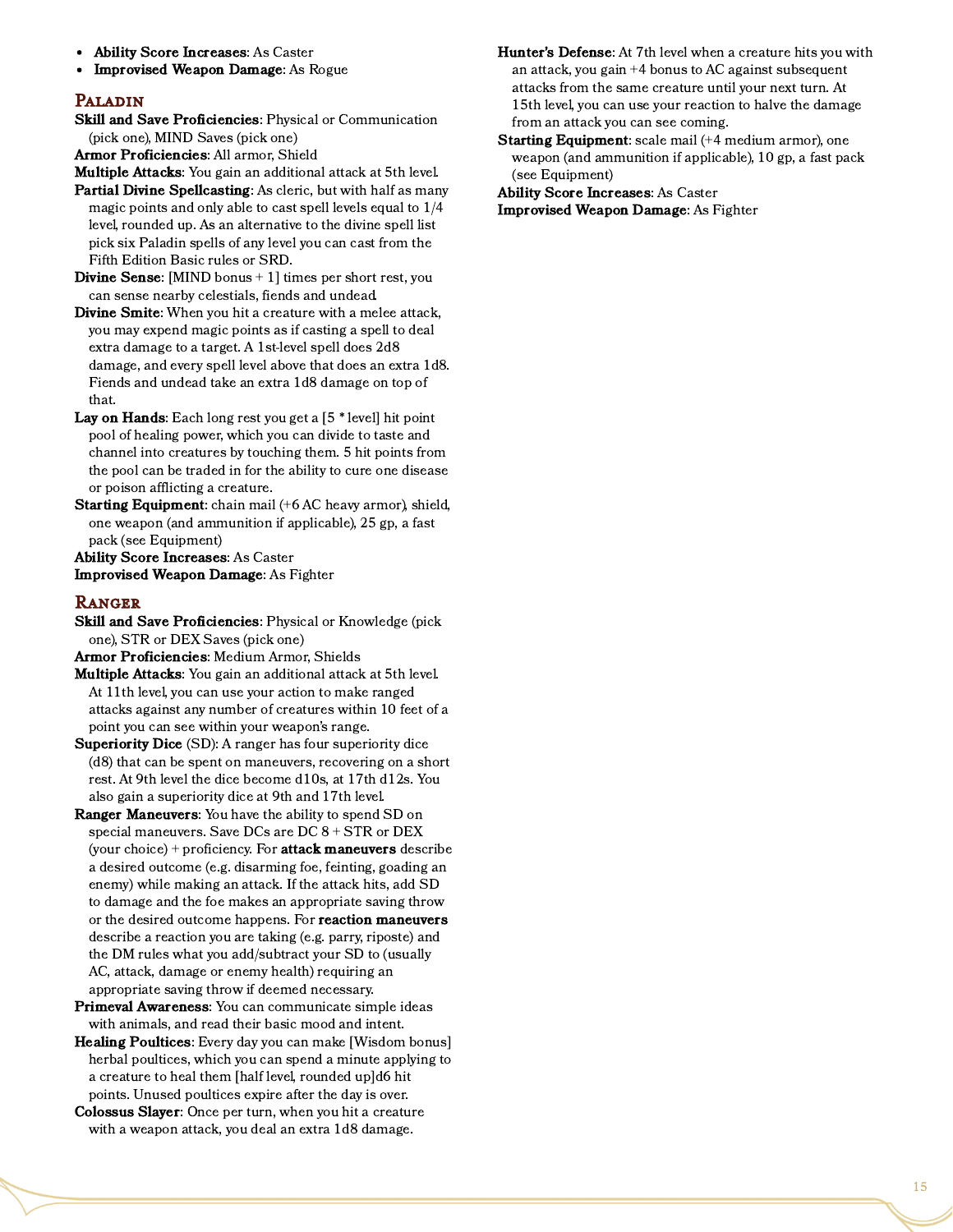- Ability Score Increases: As Caster
- Improvised Weapon Damage: As Rogue

#### Paladin

Skill and Save Proficiencies: Physical or Communication (pick one), MIND Saves (pick one)

Armor Proficiencies: All armor, Shield

- Multiple Attacks: You gain an additional attack at 5th level.
- Partial Divine Spellcasting: As cleric, but with half as many magic points and only able to cast spell levels equal to 1/4 level, rounded up. As an alternative to the divine spell list pick six Paladin spells of any level you can cast from the Fifth Edition Basic rules or SRD.
- Divine Sense: [MIND bonus + 1] times per short rest, you can sense nearby celestials, fiends and undead.
- Divine Smite: When you hit a creature with a melee attack, you may expend magic points as if casting a spell to deal extra damage to a target. A 1st-level spell does 2d8 damage, and every spell level above that does an extra 1d8. Fiends and undead take an extra 1d8 damage on top of that.
- **Lay on Hands:** Each long rest you get a  $[5 * level]$  hit point pool of healing power, which you can divide to taste and channel into creatures by touching them. 5 hit points from the pool can be traded in for the ability to cure one disease or poison afflicting a creature.
- Starting Equipment: chain mail (+6 AC heavy armor), shield, one weapon (and ammunition if applicable), 25 gp, a fast pack (see Equipment)

Ability Score Increases: As Caster Improvised Weapon Damage: As Fighter

#### **RANGER**

- Skill and Save Proficiencies: Physical or Knowledge (pick one), STR or DEX Saves (pick one)
- Armor Proficiencies: Medium Armor, Shields
- Multiple Attacks: You gain an additional attack at 5th level. At 11th level, you can use your action to make ranged attacks against any number of creatures within 10 feet of a point you can see within your weapon's range.
- Superiority Dice (SD): A ranger has four superiority dice (d8) that can be spent on maneuvers, recovering on a short rest. At 9th level the dice become d10s, at 17th d12s. You also gain a superiority dice at 9th and 17th level.
- Ranger Maneuvers: You have the ability to spend SD on special maneuvers. Save DCs are DC 8 + STR or DEX (your choice) + proficiency. For **attack maneuvers** describe a desired outcome (e.g. disarming foe, feinting, goading an enemy) while making an attack. If the attack hits, add SD to damage and the foe makes an appropriate saving throw or the desired outcome happens. For **reaction maneuvers** describe a reaction you are taking (e.g. parry, riposte) and the DM rules what you add/subtract your SD to (usually AC, attack, damage or enemy health) requiring an appropriate saving throw if deemed necessary.
- Primeval Awareness: You can communicate simple ideas with animals, and read their basic mood and intent.
- Healing Poultices: Every day you can make [Wisdom bonus] herbal poultices, which you can spend a minute applying to a creature to heal them [half level, rounded up]d6 hit points. Unused poultices expire after the day is over.
- Colossus Slayer: Once per turn, when you hit a creature with a weapon attack, you deal an extra 1d8 damage.
- Hunter's Defense: At 7th level when a creature hits you with an attack, you gain +4 bonus to AC against subsequent attacks from the same creature until your next turn. At 15th level, you can use your reaction to halve the damage from an attack you can see coming.
- **Starting Equipment:** scale mail (+4 medium armor), one weapon (and ammunition if applicable), 10 gp, a fast pack (see Equipment)

Ability Score Increases: As Caster

Improvised Weapon Damage: As Fighter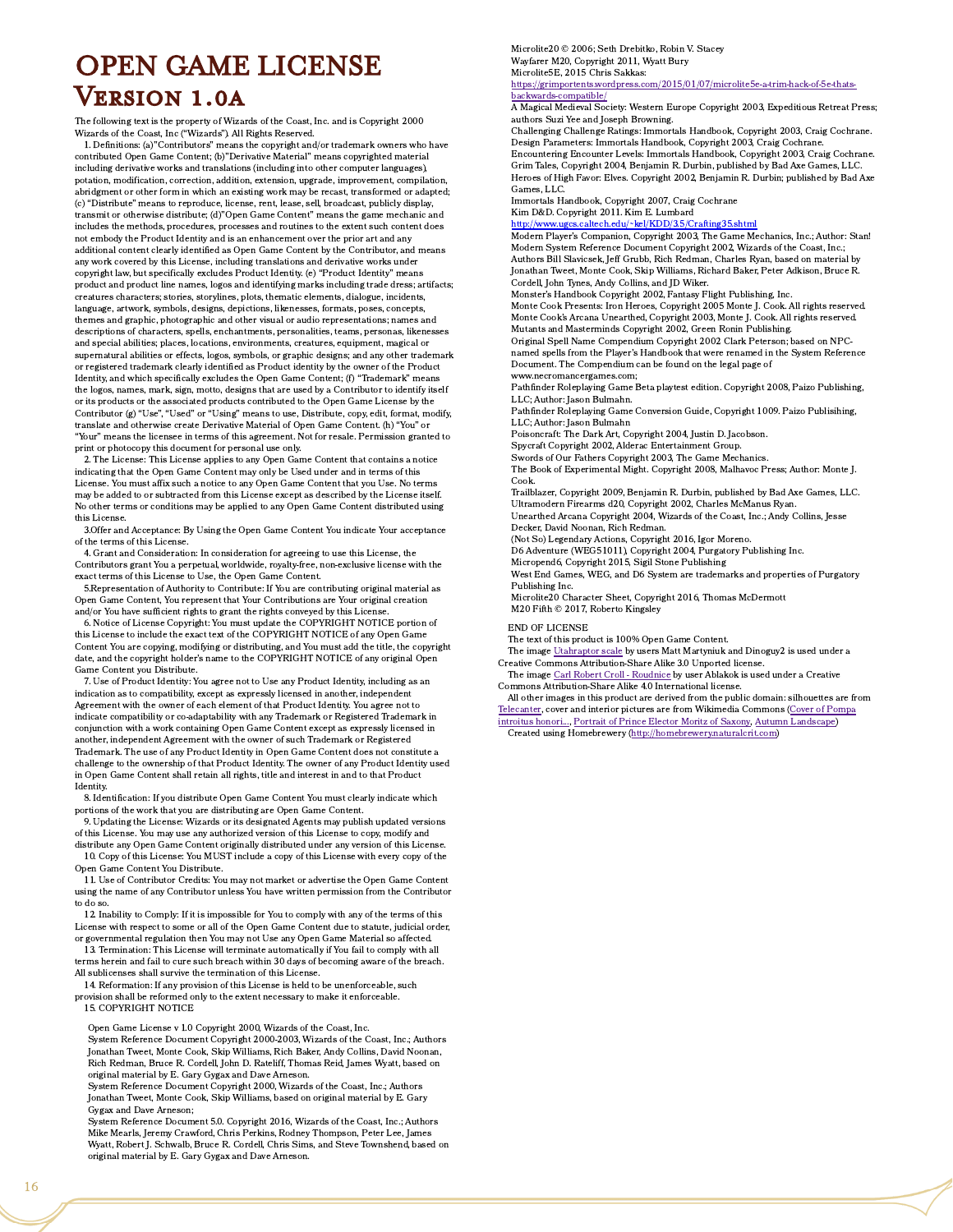# OPEN GAME LICENSE Version 1.0a

The following text is the property of Wizards of the Coast, Inc. and is Copyright 2000 Wizards of the Coast, Inc ("Wizards"). All Rights Reserved.

1. Definitions: (a)"Contributors" means the copyright and/or trademark owners who have contributed Open Game Content; (b)"Derivative Material" means copyrighted material including derivative works and translations (including into other computer languages), potation, modification, correction, addition, extension, upgrade, improvement, compilation, abridgment or other form in which an existing work may be recast, transformed or adapted; (c) "Distribute" means to reproduce, license, rent, lease, sell, broadcast, publicly display, transmit or otherwise distribute; (d)"Open Game Content" means the game mechanic and includes the methods, procedures, processes and routines to the extent such content does not embody the Product Identity and is an enhancement over the prior art and any additional content clearly identified as Open Game Content by the Contributor, and means any work covered by this License, including translations and derivative works under copyright law, but specifically excludes Product Identity. (e) "Product Identity" means product and product line names, logos and identifying marks including trade dress; artifacts; creatures characters; stories, storylines, plots, thematic elements, dialogue, incidents, language, artwork, symbols, designs, depictions, likenesses, formats, poses, concepts, themes and graphic, photographic and other visual or audio representations; names and descriptions of characters, spells, enchantments, personalities, teams, personas, likenesses and special abilities; places, locations, environments, creatures, equipment, magical or supernatural abilities or effects, logos, symbols, or graphic designs; and any other trademark or registered trademark clearly identified as Product identity by the owner of the Product Identity, and which specifically excludes the Open Game Content; (f) "Trademark" means the logos, names, mark, sign, motto, designs that are used by a Contributor to identify itself or its products or the associated products contributed to the Open Game License by the Contributor (g) "Use", "Used" or "Using" means to use, Distribute, copy, edit, format, modify, translate and otherwise create Derivative Material of Open Game Content. (h) "You" or "Your" means the licensee in terms of this agreement. Not for resale. Permission granted to print or photocopy this document for personal use only.

2. The License: This License applies to any Open Game Content that contains a notice indicating that the Open Game Content may only be Used under and in terms of this License. You must affix such a notice to any Open Game Content that you Use. No terms may be added to or subtracted from this License except as described by the License itself. No other terms or conditions may be applied to any Open Game Content distributed using this License.

3.Offer and Acceptance: By Using the Open Game Content You indicate Your acceptance of the terms of this License.

4. Grant and Consideration: In consideration for agreeing to use this License, the Contributors grant You a perpetual, worldwide, royalty-free, non-exclusive license with the exact terms of this License to Use, the Open Game Content.

5.Representation of Authority to Contribute: If You are contributing original material as Open Game Content, You represent that Your Contributions are Your original creation and/or You have sufficient rights to grant the rights conveyed by this License.

6. Notice of License Copyright: You must update the COPYRIGHT NOTICE portion of this License to include the exact text of the COPYRIGHT NOTICE of any Open Game Content You are copying, modifying or distributing, and You must add the title, the copyright date, and the copyright holder's name to the COPYRIGHT NOTICE of any original Open Game Content you Distribute.

7. Use of Product Identity: You agree not to Use any Product Identity, including as an indication as to compatibility, except as expressly licensed in another, independent Agreement with the owner of each element of that Product Identity. You agree not to indicate compatibility or co-adaptability with any Trademark or Registered Trademark in conjunction with a work containing Open Game Content except as expressly licensed in another, independent Agreement with the owner of such Trademark or Registered Trademark. The use of any Product Identity in Open Game Content does not constitute a challenge to the ownership of that Product Identity. The owner of any Product Identity used in Open Game Content shall retain all rights, title and interest in and to that Product Identity.

8. Identification: If you distribute Open Game Content You must clearly indicate which portions of the work that you are distributing are Open Game Content.

9. Updating the License: Wizards or its designated Agents may publish updated versions of this License. You may use any authorized version of this License to copy, modify and distribute any Open Game Content originally distributed under any version of this License.

10. Copy of this License: You MUST include a copy of this License with every copy of the Open Game Content You Distribute.

11. Use of Contributor Credits: You may not market or advertise the Open Game Content using the name of any Contributor unless You have written permission from the Contributor to do so.

12. Inability to Comply: If it is impossible for You to comply with any of the terms of this License with respect to some or all of the Open Game Content due to statute, judicial order, or governmental regulation then You may not Use any Open Game Material so affected.

13. Termination: This License will terminate automatically if You fail to comply with all terms herein and fail to cure such breach within 30 days of becoming aware of the breach. All sublicenses shall survive the termination of this License.

14. Reformation: If any provision of this License is held to be unenforceable, such provision shall be reformed only to the extent necessary to make it enforceable. 15. COPYRIGHT NOTICE

Open Game License v 1.0 Copyright 2000, Wizards of the Coast, Inc.

System Reference Document Copyright 2000-2003, Wizards of the Coast, Inc.; Authors Jonathan Tweet, Monte Cook, Skip Williams, Rich Baker, Andy Collins, David Noonan, Rich Redman, Bruce R. Cordell, John D. Rateliff, Thomas Reid, James Wyatt, based on original material by E. Gary Gygax and Dave Arneson.

System Reference Document Copyright 2000, Wizards of the Coast, Inc.; Authors Jonathan Tweet, Monte Cook, Skip Williams, based on original material by E. Gary Gygax and Dave Arneson;

System Reference Document 5.0. Copyright 2016, Wizards of the Coast, Inc.; Authors Mike Mearls, Jeremy Crawford, Chris Perkins, Rodney Thompson, Peter Lee, James Wyatt, Robert J. Schwalb, Bruce R. Cordell, Chris Sims, and Steve Townshend, based on original material by E. Gary Gygax and Dave Arneson.

Microlite20 © 2006; Seth Drebitko, Robin V. Stacey Wayfarer M20, Copyright 2011, Wyatt Bury Microlite5E, 2015 Chris Sakkas:

[https://grimportents.wordpress.com/2015/01/07/microlite5e-a-trim-hack-of-5e-thats](https://grimportents.wordpress.com/2015/01/07/microlite5e-a-trim-hack-of-5e-thats-backwards-compatible/)backwards-compatible/

A Magical Medieval Society: Western Europe Copyright 2003, Expeditious Retreat Press; authors Suzi Yee and Joseph Browning.

Challenging Challenge Ratings: Immortals Handbook, Copyright 2003, Craig Cochrane. Design Parameters: Immortals Handbook, Copyright 2003, Craig Cochrane. Encountering Encounter Levels: Immortals Handbook, Copyright 2003, Craig Cochrane. Grim Tales, Copyright 2004, Benjamin R. Durbin, published by Bad Axe Games, LLC. Heroes of High Favor: Elves. Copyright 2002, Benjamin R. Durbin; published by Bad Axe Games, LLC.

Immortals Handbook, Copyright 2007, Craig Cochrane

Kim D&D. Copyright 2011. Kim E. Lumbard

<http://www.ugcs.caltech.edu/~kel/KDD/3.5/Crafting35.shtml> Modern Player's Companion, Copyright 2003, The Game Mechanics, Inc.; Author: Stan! Modern System Reference Document Copyright 2002, Wizards of the Coast, Inc.; Authors Bill Slavicsek, Jeff Grubb, Rich Redman, Charles Ryan, based on material by Jonathan Tweet, Monte Cook, Skip Williams, Richard Baker, Peter Adkison, Bruce R. Cordell, John Tynes, Andy Collins, and JD Wiker.

Monster's Handbook Copyright 2002, Fantasy Flight Publishing, Inc.

Monte Cook Presents: Iron Heroes, Copyright 2005 Monte J. Cook. All rights reserved. Monte Cook's Arcana Unearthed, Copyright 2003, Monte J. Cook. All rights reserved. Mutants and Masterminds Copyright 2002, Green Ronin Publishing.

Original Spell Name Compendium Copyright 2002 Clark Peterson; based on NPCnamed spells from the Player's Handbook that were renamed in the System Reference Document. The Compendium can be found on the legal page of www.necromancergames.com;

Pathfinder Roleplaying Game Beta playtest edition. Copyright 2008, Paizo Publishing, LLC; Author: Jason Bulmahn.

Pathfinder Roleplaying Game Conversion Guide, Copyright 1009. Paizo Publisihing, LLC; Author: Jason Bulmahn

Poisoncraft: The Dark Art, Copyright 2004, Justin D. Jacobson.

Spycraft Copyright 2002, Alderac Entertainment Group.

Swords of Our Fathers Copyright 2003, The Game Mechanics. The Book of Experimental Might. Copyright 2008, Malhavoc Press; Author: Monte J. Cook.

Trailblazer, Copyright 2009, Benjamin R. Durbin, published by Bad Axe Games, LLC. Ultramodern Firearms d20, Copyright 2002, Charles McManus Ryan.

Unearthed Arcana Copyright 2004, Wizards of the Coast, Inc.; Andy Collins, Jesse Decker, David Noonan, Rich Redman.

(Not So) Legendary Actions, Copyright 2016, Igor Moreno.

D6 Adventure (WEG51011), Copyright 2004, Purgatory Publishing Inc.

Micropend6, Copyright 2015, Sigil Stone Publishing

West End Games, WEG, and D6 System are trademarks and properties of Purgatory Publishing Inc.

Microlite20 Character Sheet, Copyright 2016, Thomas McDermott M20 Fifth © 2017, Roberto Kingsley

END OF LICENSE

The text of this product is 100% Open Game Content.

The image [Utahraptor](https://commons.wikimedia.org/wiki/File:Utahraptor_scale.png) scale by users Matt Martyniuk and Dinoguy2 is used under a Creative Commons Attribution-Share Alike 3.0 Unported license.

The image Carl Robert Croll - [Roudnice](https://commons.wikimedia.org/wiki/File:Carl_Robert_Croll_-_Roudnice.jpg) by user Ablakok is used under a Creative Commons Attribution-Share Alike 4.0 International license.

All other images in this product are derived from the public domain: silhouettes are from [Telecanter](http://recedingrules.blogspot.com/), cover and interior pictures are from Wikimedia Commons (Cover of Pompa

introitus honori..., [Portrait](https://commons.wikimedia.org/wiki/File:Moritz-von-Sachsen-1578.jpg) of Prince Elector Moritz of Saxony, Autumn [Landscape\)](https://commons.wikimedia.org/wiki/File:Band_av_kalvskinn_med_guldtr%C3%A5d_-_Skoklosters_slott_-_93414.tif) Created using Homebrewery ([http://homebrewery.naturalcrit.com\)](http://homebrewery.naturalcrit.com/)